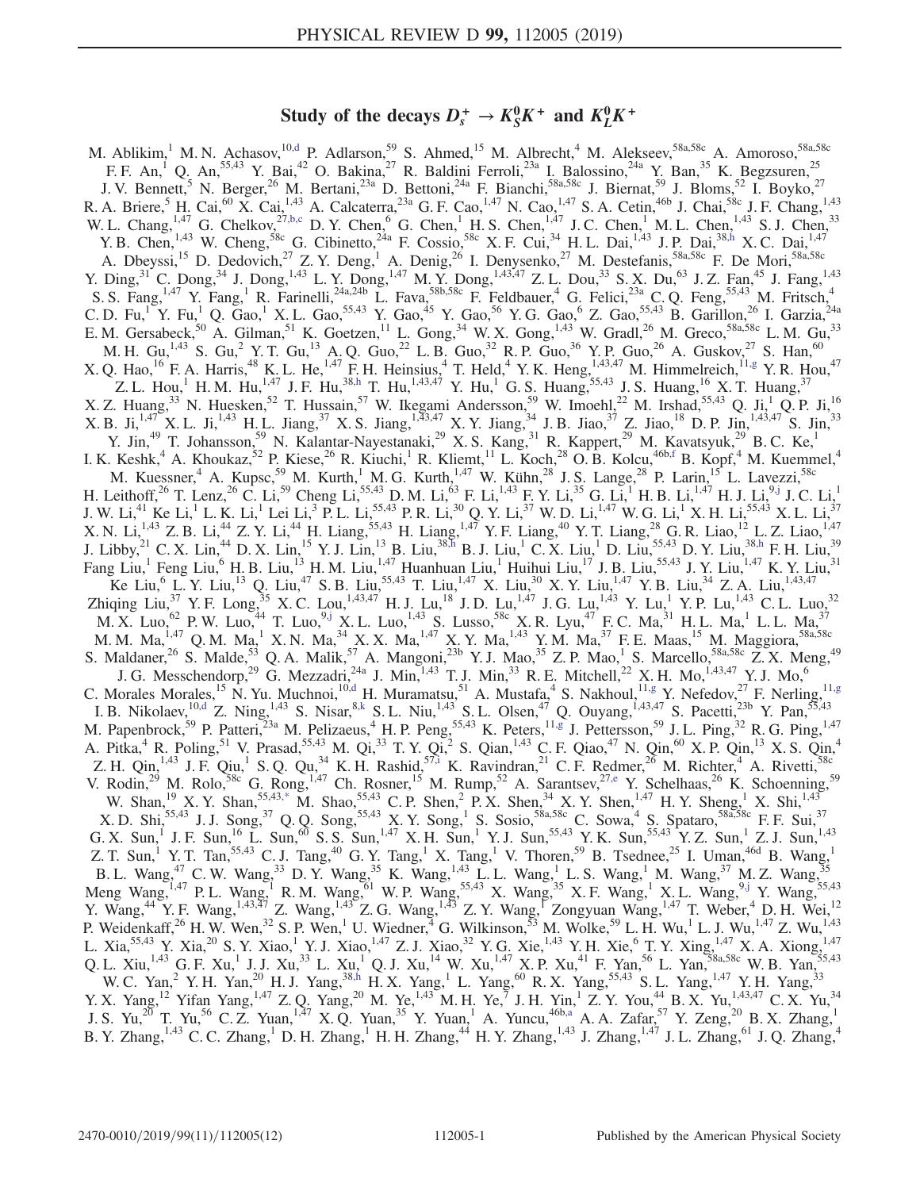# Study of the decays  $D_s^+ \rightarrow K_S^0 K^+$  and  $K_L^0 K^+$

<span id="page-0-9"></span><span id="page-0-8"></span><span id="page-0-7"></span><span id="page-0-6"></span><span id="page-0-5"></span><span id="page-0-4"></span><span id="page-0-3"></span><span id="page-0-2"></span><span id="page-0-1"></span><span id="page-0-0"></span>M. Ablikim,<sup>1</sup> M. N. Achasov,<sup>1[0,d](#page-2-0)</sup> P. Adlarson,<sup>59</sup> S. Ahmed,<sup>15</sup> M. Albrecht,<sup>4</sup> M. Alekseev,<sup>58a,58c</sup> A. Amoroso,<sup>58a,58c</sup> F. F. An,<sup>1</sup> Q. An,<sup>55,43</sup> Y. Bai,<sup>42</sup> O. Bakina,<sup>27</sup> R. Baldini Ferroli,<sup>23a</sup> I. Balossino,<sup>24a</sup> Y. Ban,<sup>35</sup> K. Begzsuren,<sup>25</sup> J. V. Bennett,<sup>5</sup> N. Berger,<sup>26</sup> M. Bertani,<sup>23a</sup> D. Bettoni,<sup>24a</sup> F. Bianchi,<sup>58a,58c</sup> J. Biernat,<sup>59</sup> J. Bloms,<sup>52</sup> I. Boyko,<sup>27</sup> R. A. Briere,  $^{5}$  H. Cai,  $^{60}$  X. Cai,  $^{1,43}$  A. Calcaterra,  $^{23a}$  G. F. Cao,  $^{1,47}$  N. Cao,  $^{1,47}$  S. A. Cetin,  $^{46b}$  J. Chai,  $^{58c}$  J. F. Chang,  $^{1,43}$ W. L. Chang,<sup>1,47</sup> G. Chelkov,<sup>2[7,b,c](#page-2-1)</sup> D. Y. Chen,<sup>6</sup> G. Chen,<sup>1</sup> H. S. Chen,<sup>1,47</sup> J. C. Chen,<sup>1</sup> M. L. Chen,<sup>1,43</sup> S. J. Chen,<sup>33</sup> Y. B. Chen,<sup>1,43</sup> W. Cheng,<sup>58c</sup> G. Cibinetto,<sup>24a</sup> F. Cossio,<sup>58c</sup> X. F. Cui,<sup>34</sup> H. L. Dai,<sup>1,43</sup> J. P. Dai,<sup>38[,h](#page-2-2)</sup> X. C. Dai,<sup>1,47</sup> A. Dbeyssi,<sup>15</sup> D. Dedovich,<sup>27</sup> Z. Y. Deng,<sup>1</sup> A. Denig,<sup>26</sup> I. Denysenko,<sup>27</sup> M. Destefanis,<sup>58a,58c</sup> F. De Mori,<sup>58a,58c</sup> Y. Ding,<sup>31</sup> C. Dong,<sup>34</sup> J. Dong,<sup>1,43</sup> L. Y. Dong,<sup>1,47</sup> M. Y. Dong,<sup>1,43,47</sup> Z. L. Dou,<sup>33</sup> S. X. Du,<sup>63</sup> J. Z. Fan,<sup>45</sup> J. Fang,<sup>1,43</sup> S. S. Fang,<sup>1,47</sup> Y. Fang,<sup>1</sup> R. Farinelli,<sup>24a,24b</sup> L. Fava,<sup>58b,58c</sup> F. Feldbauer,<sup>4</sup> G. Felici,<sup>23a</sup> C. Q. Feng,<sup>55,43</sup> M. Fritsch,<sup>4</sup> C. D. Fu,<sup>1</sup> Y. Fu,<sup>1</sup> Q. Gao,<sup>1</sup> X. L. Gao,<sup>55,43</sup> Y. Gao,<sup>45</sup> Y. Gao,<sup>56</sup> Y. G. Gao,<sup>6</sup> Z. Gao,<sup>55,43</sup> B. Garillon,<sup>26</sup> I. Garzia,<sup>24a</sup> E. M. Gersabeck,<sup>50</sup> A. Gilman,<sup>51</sup> K. Goetzen,<sup>11</sup> L. Gong,<sup>34</sup> W. X. Gong,<sup>1,43</sup> W. Gradl,<sup>26</sup> M. Greco,<sup>58a,58c</sup> L. M. Gu,<sup>33</sup> M. H. Gu,<sup>1,43</sup> S. Gu,<sup>2</sup> Y. T. Gu,<sup>13</sup> A. Q. Guo,<sup>22</sup> L. B. Guo,<sup>32</sup> R. P. Guo,<sup>36</sup> Y. P. Guo,<sup>26</sup> A. Guskov,<sup>27</sup> S. Han,<sup>60</sup> X. Q. Hao, <sup>16</sup> F. A. Harris, <sup>48</sup> K. L. He, <sup>1,47</sup> F. H. Heinsius, <sup>4</sup> T. Held, <sup>4</sup> Y. K. Heng,  $^{1,43,47}_{1,1,47}$  M. Himmelreich,  $^{11,g}$  $^{11,g}$  $^{11,g}$  Y. R. Hou, <sup>47</sup> Z. L. Hou,<sup>1</sup> H. M. Hu,<sup>1,47</sup> J. F. Hu,<sup>3[8,h](#page-2-2)</sup> T. Hu,<sup>1,43,47</sup> Y. Hu,<sup>1</sup> G. S. Huang,<sup>55,43</sup> J. S. Huang,<sup>16</sup> X. T. Huang,<sup>37</sup> X. Z. Huang,<sup>33</sup> N. Huesken,<sup>52</sup> T. Hussain,<sup>57</sup> W. Ikegami Andersson,<sup>59</sup> W. Imoehl,<sup>22</sup> M. Irshad,<sup>55,43</sup> Q. Ji,<sup>1</sup> Q. P. Ji,<sup>16</sup> X. B. Ji,<sup>1,47</sup> X. L. Ji,<sup>1,43</sup> H. L. Jiang,<sup>37</sup> X. S. Jiang,<sup>1,43,47</sup> X. Y. Jiang,<sup>34</sup> J. B. Jiao,<sup>37</sup> Z. Jiao,<sup>18</sup> D. P. Jin,<sup>1,43,47</sup> S. Jin,<sup>33</sup> Y. Jin,<sup>49</sup> T. Johansson,<sup>59</sup> N. Kalantar-Nayestanaki,<sup>29</sup> X. S. Kang,<sup>31</sup> R. Kappert,<sup>29</sup> M. Kavatsyuk,<sup>29</sup> B. C. Ke,<sup>1</sup> I. K. Keshk,<sup>4</sup> A. Khoukaz,<sup>52</sup> P. Kiese,<sup>26</sup> R. Kiuchi,<sup>1</sup> R. Kliemt,<sup>11</sup> L. Koch,<sup>28</sup> O. B. Kolcu,<sup>46b[,f](#page-2-4)</sup> B. Kopf,<sup>4</sup> M. Kuemmel,<sup>4</sup> M. Kuessner,<sup>4</sup> A. Kupsc,<sup>59</sup> M. Kurth,<sup>1</sup> M. G. Kurth,<sup>1,47</sup> W. Kühn,<sup>28</sup> J. S. Lange,<sup>28</sup> P. Larin,<sup>15</sup> L. Lavezzi,<sup>58c</sup> H. Leithoff,  $^{26}$  T. Lenz,  $^{26}$  C. Li,  $^{59}$  Cheng Li,  $^{55,43}$  D. M. Li,  $^{63}$  F. Li,  $^{1,43}$  F. Y. Li,  $^{35}$  G. Li,  $^{1}$  H. B. Li,  $^{1,47}$  H. J. Li,  $^{9, j}$  J. C. Li,  $^{1}$ J. W. Li, $^{41}$  Ke Li, $^{1}$  L. K. Li, $^{1}$  Lei Li, $^{3}$  P. L. Li, $^{55,43}$  P. R. Li, $^{30}$  Q. Y. Li, $^{37}$  W. D. Li, $^{147}$  W. G. Li, $^{1}$  X. H. Li, $^{55,43}$  X. L. Li, $^{37}$ X. N. Li,<sup>1,43</sup> Z. B. Li,<sup>44</sup> Z. Y. Li,<sup>44</sup> H. Liang,<sup>55,43</sup> H. Liang,<sup>1,47</sup> Y. F. Liang,<sup>40</sup> Y. T. Liang,<sup>28</sup> G. R. Liao,<sup>12</sup> L. Z. Liao,<sup>1,47</sup> J. Libby,  $^{21}$  C. X. Lin,  $^{44}$  D. X. Lin,  $^{15}$  Y. J. Lin,  $^{13}$  B. Liu,  $^{38,5}$  B. J. Liu,  $^{1}$  C. X. Liu,  $^{1}$  D. Liu,  $^{55,43}$  D. Y. Liu,  $^{38, h}$  F. H. Liu,  $^{39}$ Fang Liu,<sup>1</sup> Feng Liu,<sup>6</sup> H. B. Liu,<sup>13</sup> H. M. Liu,<sup>1,47</sup> Huanhuan Liu,<sup>1</sup> Huihui Liu,<sup>17</sup> J. B. Liu,<sup>55,43</sup> J. Y. Liu,<sup>1,47</sup> K. Y. Liu,<sup>31</sup> Ke Liu,<sup>6</sup> L. Y. Liu,<sup>13</sup> Q. Liu,<sup>47</sup> S. B. Liu,<sup>55,43</sup> T. Liu,<sup>1,47</sup> X. Liu,<sup>30</sup> X. Y. Liu,<sup>1,47</sup> Y. B. Liu,<sup>34</sup> Z. A. Liu,<sup>1,43,47</sup> Zhiqing Liu,<sup>37</sup> Y. F. Long,<sup>35</sup> X. C. Lou,<sup>1,43,47</sup> H. J. Lu,<sup>18</sup> J. D. Lu,<sup>1,47</sup> J. G. Lu,<sup>1,43</sup> Y. Lu,<sup>1</sup> Y. P. Lu,<sup>1,43</sup> C. L. Luo,<sup>32</sup>  $M.X.$  Luo,<sup>62</sup> P. W. Luo,<sup>44</sup> T. Luo,<sup>[9,j](#page-2-5)</sup> X. L. Luo,<sup>1,43</sup> S. Lusso,<sup>58c</sup> X. R. Lyu,<sup>47</sup> F. C. Ma,<sup>31</sup> H. L. Ma,<sup>1</sup> L. L. Ma,<sup>37</sup> M. M. Ma,  $^{1,47}$  Q. M. Ma, K. N. Ma,  $^{34}$  X. X. Ma,  $^{1,47}$  X. Y. Ma,  $^{1,43}$  Y. M. Ma,  $^{37}$  F. E. Maas,  $^{15}$  M. Maggiora,  $^{58a,58c}$ S. Maldaner,<sup>26</sup> S. Malde,<sup>53</sup> Q. A. Malik,<sup>57</sup> A. Mangoni,<sup>23b</sup> Y. J. Mao,<sup>35</sup> Z. P. Mao,<sup>1</sup> S. Marcello,<sup>58a,58c</sup> Z. X. Meng,<sup>49</sup> J. G. Messchendorp,<sup>29</sup> G. Mezzadri,<sup>24a</sup> J. Min,<sup>1,43</sup> T. J. Min,<sup>33</sup> R. E. Mitchell,<sup>22</sup> X. H. Mo,<sup>1,43,47</sup> Y. J. Mo,<sup>6</sup> C. Morales Morales, <sup>15</sup> N. Yu. Muchnoi, <sup>1[0,d](#page-2-0)</sup> H. Muramatsu, <sup>51</sup> A. Mustafa, <sup>4</sup> S. Nakhoul, <sup>11[,g](#page-2-3)</sup> Y. Nefedov, <sup>27</sup> F. Nerling, <sup>11,g</sup> I. B. Nikolaev,  $^{10, d}$  Z. Ning,  $^{1, 43}$  S. Nisar,  $^{8, k}$  S. L. Niu,  $^{1, 43}$  S. L. Olsen,  $^{47}$  Q. Ouyang,  $^{1, 43, 47}$  S. Pacetti,  $^{23b}$  Y. Pan,  $^{55, 43}$ M. Papenbrock,<sup>59</sup> P. Patteri,<sup>23a</sup> M. Pelizaeus,<sup>4</sup> H. P. Peng,<sup>55,43</sup> K. Peters,<sup>11[,g](#page-2-3)</sup> J. Pettersson,<sup>59</sup> J. L. Ping,<sup>32</sup> R. G. Ping,<sup>1,47</sup> A. Pitka,<sup>4</sup> R. Poling,<sup>51</sup> V. Prasad,<sup>55,43</sup> M. Qi,<sup>33</sup> T. Y. Qi,<sup>2</sup> S. Qian,<sup>1,43</sup> C. F. Qiao,<sup>47</sup> N. Qin,<sup>60</sup> X. P. Qin,<sup>13</sup> X. S. Qin,<sup>4</sup> Z. H. Qin,<sup>1,43</sup> J. F. Qiu,<sup>1</sup> S. Q. Qu,<sup>34</sup> K. H. Rashid,<sup>5[7,i](#page-2-7)</sup> K. Ravindran,<sup>21</sup> C. F. Redmer,<sup>26</sup> M. Richter,<sup>4</sup> A. Rivetti,<sup>58c</sup> V. Rodin,<sup>29</sup> M. Rolo,<sup>58c</sup> G. Rong,<sup>1,47</sup> Ch. Rosner,<sup>15</sup> M. Rump,<sup>52</sup> A. Sarantsev,<sup>2[7,e](#page-2-8)</sup> Y. Schelhaas,<sup>26</sup> K. Schoenning,<sup>59</sup> W. Shan,  $^{19}$  X. Y. Shan,  $^{55,43,*}$  $^{55,43,*}$  $^{55,43,*}$  M. Shao,  $^{55,43}$  C. P. Shen,  $^{2}$  P. X. Shen,  $^{34}$  X. Y. Shen,  $^{1,47}$  H. Y. Sheng,  $^{1}$  X. Shi,  $^{1,43}$ X. D. Shi,<sup>55,43</sup> J. J. Song,<sup>37</sup> Q. Q. Song,<sup>55,43</sup> X. Y. Song,<sup>1</sup> S. Sosio,<sup>58a,58c</sup> C. Sowa,<sup>4</sup> S. Spataro,<sup>58a,58c</sup> F. F. Sui,<sup>37</sup> G. X. Sun,<sup>1</sup> J. F. Sun,<sup>16</sup> L. Sun,<sup>60</sup> S. S. Sun,<sup>1,47</sup> X. H. Sun,<sup>1</sup> Y. J. Sun,<sup>55,43</sup> Y. K. Sun,<sup>55,43</sup> Y. Z. Sun,<sup>1</sup> Z. J. Sun,<sup>1,43</sup> Z. T. Sun,<sup>1</sup> Y. T. Tan,<sup>55,43</sup> C. J. Tang,<sup>40</sup> G. Y. Tang,<sup>1</sup> X. Tang,<sup>1</sup> V. Thoren,<sup>59</sup> B. Tsednee,<sup>25</sup> I. Uman,<sup>46d</sup> B. Wang,<sup>1</sup> B. L. Wang,  $^{47}$  C. W. Wang,  $^{33}$  D. Y. Wang,  $^{35}$  K. Wang,  $^{1,43}$  L. L. Wang,  $^{1}$  L. S. Wang,  $^{1}$  M. Wang,  $^{37}$  M. Z. Wang,  $^{35}$ Meng Wang,<sup>1,47</sup> P. L. Wang,<sup>1</sup> R. M. Wang,<sup>61</sup> W. P. Wang,<sup>55,43</sup> X. Wang,<sup>35</sup> X. F. Wang,<sup>1</sup> X. L. Wang,<sup>9</sup> Y. Wang,<sup>55,43</sup> Y. Wang,<sup>44</sup> Y. F. Wang,<sup>1,43,47</sup> Z. Wang,<sup>1,43</sup> Z. G. Wang,<sup>1,43</sup> Z. Y. Wang,<sup>1</sup> Zongyuan Wang,<sup>1,47</sup> T. Weber,<sup>4</sup> D. H. Wei,<sup>12</sup> P. Weidenkaff,<sup>26</sup> H. W. Wen,<sup>32</sup> S. P. Wen,<sup>1</sup> U. Wiedner,<sup>4</sup> G. Wilkinson,<sup>53</sup> M. Wolke,<sup>59</sup> L. H. Wu,<sup>1</sup> L. J. Wu,<sup>1,47</sup> Z. Wu,<sup>1,43</sup> L. Xia,<sup>55,43</sup> Y. Xia,<sup>20</sup> S. Y. Xiao,<sup>1</sup> Y. J. Xiao,<sup>1,47</sup> Z. J. Xiao,<sup>32</sup> Y. G. Xie,<sup>1,43</sup> Y. H. Xie,<sup>6</sup> T. Y. Xing,<sup>1,47</sup> X. A. Xiong,<sup>1,47</sup> Q. L. Xiu, <sup>1,43</sup> G. F. Xu, <sup>1</sup> J. J. Xu, <sup>33</sup> L. Xu, <sup>1</sup> Q. J. Xu, <sup>14</sup> W. Xu, <sup>1,47</sup> X. P. Xu, <sup>41</sup> F. Yan, <sup>56</sup> L. Yan, <sup>58a,58c</sup> W. B. Yan, 55,43 W. C. Yan,<sup>2</sup> Y. H. Yan,<sup>20</sup> H. J. Yang,<sup>3[8,h](#page-2-2)</sup> H. X. Yang,<sup>1</sup> L. Yang,<sup>60</sup> R. X. Yang,<sup>55,43</sup> S. L. Yang,<sup>1,47</sup> Y. H. Yang,<sup>33</sup> Y. X. Yang,<sup>12</sup> Yifan Yang,<sup>1,47</sup> Z. Q. Yang,<sup>20</sup> M. Ye,<sup>1,43</sup> M. H. Ye,<sup>7</sup> J. H. Yin,<sup>1</sup> Z. Y. You,<sup>44</sup> B. X. Yu,<sup>1,43,47</sup> C. X. Yu,<sup>34</sup> J. S. Yu,<sup>20</sup> T. Yu,<sup>56</sup> C. Z. Yuan,<sup>1,47</sup> X. Q. Yuan,<sup>35</sup> Y. Yuan,<sup>1</sup> A. Yuncu,<sup>46[b,a](#page-2-10)</sup> A. A. Zafar,<sup>57</sup> Y. Zeng,<sup>20</sup> B. X. Zhang,<sup>1</sup> B. Y. Zhang,<sup>1,43</sup> C. C. Zhang,<sup>1</sup> D. H. Zhang,<sup>1</sup> H. H. Zhang,<sup>44</sup> H. Y. Zhang,<sup>1,43</sup> J. Zhang,<sup>1,47</sup> J. L. Zhang,<sup>61</sup> J. Q. Zhang,<sup>4</sup>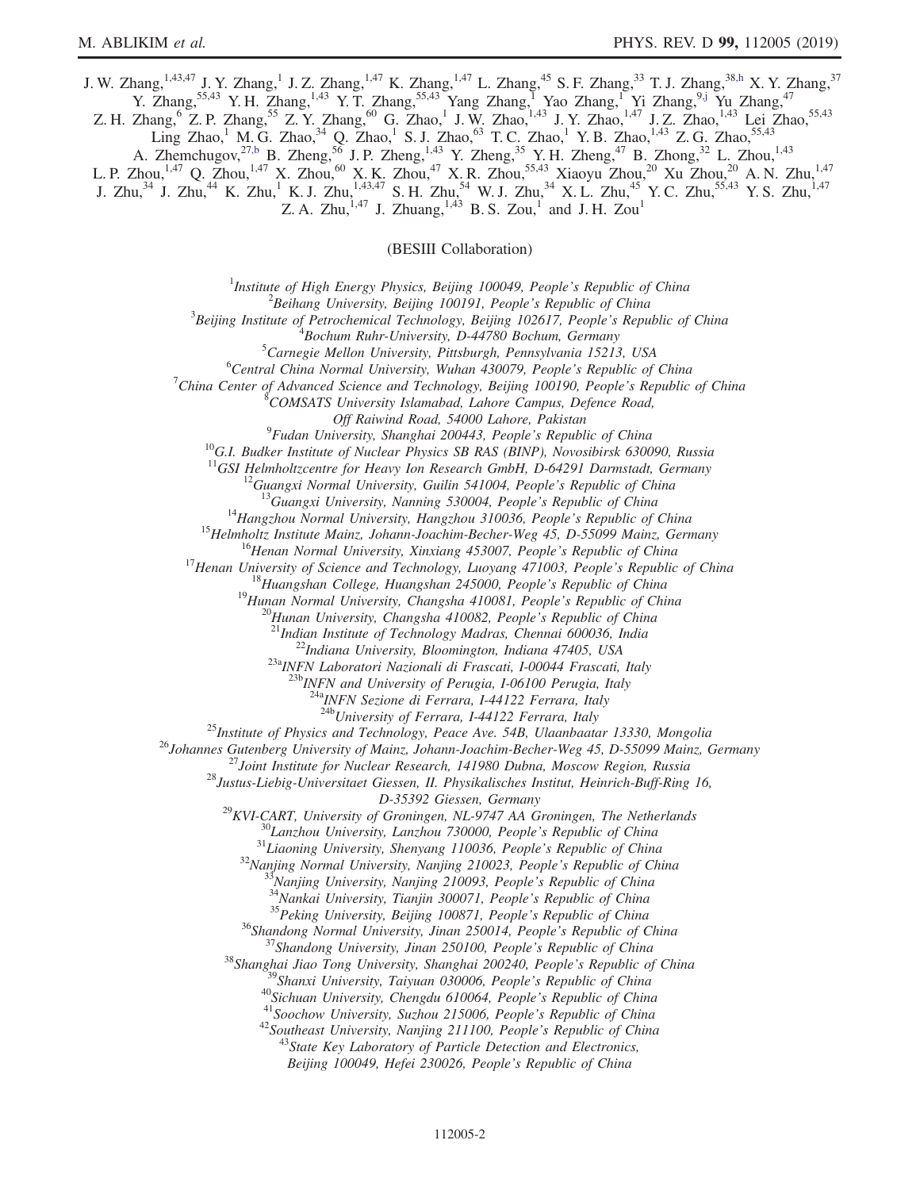J. W. Zhang,<sup>1,43,47</sup> J. Y. Zhang,<sup>1</sup> J. Z. Zhang,<sup>1,47</sup> K. Zhang,<sup>1,47</sup> L. Zhang,<sup>45</sup> S. F. Zhang,<sup>33</sup> T. J. Zhang,<sup>38[,h](#page-2-2)</sup> X. Y. Zhang,<sup>37</sup> Y. Zhang,<sup>55,43</sup> Y. H. Zhang,<sup>1,43</sup> Y. T. Zhang,<sup>55,43</sup> Yang Zhang,<sup>1</sup> Yao Zhang,<sup>1</sup> Yi Zhang,<sup>[9,j](#page-2-5)</sup> Yu Zhang,<sup>47</sup>

Z. H. Zhang,<sup>6</sup> Z. P. Zhang,<sup>55</sup> Z. Y. Zhang,<sup>60</sup> G. Zhao,<sup>1</sup> J. W. Zhao,<sup>1,43</sup> J. Y. Zhao,<sup>1,47</sup> J. Z. Zhao,<sup>1,43</sup> Lei Zhao,<sup>55,43</sup>

Ling Zhao,<sup>1</sup> M. G. Zhao,<sup>34</sup> Q. Zhao,<sup>1</sup> S. J. Zhao,<sup>63</sup> T. C. Zhao,<sup>1</sup> Y. B. Zhao,<sup>1,43</sup> Z. G. Zhao,<sup>55,43</sup>

A. Zhemchugov,  $^{27,b}$  $^{27,b}$  $^{27,b}$  B. Zheng,  $^{56}$  J. P. Zheng,  $^{1,43}$  Y. Zheng,  $^{35}$  Y. H. Zheng,  $^{47}$  B. Zhong,  $^{32}$  L. Zhou,  $^{1,43}$ 

L. P. Zhou,<sup>1,47</sup> Q. Zhou,<sup>1,47</sup> X. Zhou,<sup>60</sup> X. K. Zhou,<sup>47</sup> X. R. Zhou,<sup>55,43</sup> Xiaoyu Zhou,<sup>20</sup> Xu Zhou,<sup>20</sup> A. N. Zhu,<sup>1,47</sup>

J. Zhu,<sup>34</sup> J. Zhu,<sup>44</sup> K. Zhu,<sup>1</sup> K. J. Zhu,<sup>1,43,47</sup> S. H. Zhu,<sup>54</sup> W. J. Zhu,<sup>34</sup> X. L. Zhu,<sup>45</sup> Y. C. Zhu,<sup>55,43</sup> Y. S. Zhu,<sup>1,47</sup>

Z. A. Zhu, $^{1,47}$  J. Zhuang, $^{1,43}$  B. S. Zou,<sup>1</sup> and J. H. Zou<sup>1</sup>

(BESIII Collaboration)

<sup>1</sup>Institute of High Energy Physics, Beijing 100049, People's Republic of China  $\frac{2 \text{Poibana}}{2}$ 

 $^2$ Beihang University, Beijing 100191, People's Republic of China

 $3$ Beijing Institute of Petrochemical Technology, Beijing 102617, People's Republic of China

 ${}^{4}$ Bochum Ruhr-University, D-44780 Bochum, Germany

 ${}^{5}$ Carnegie Mellon University, Pittsburgh, Pennsylvania 15213, USA

 $^{6}$ Central China Normal University, Wuhan 430079, People's Republic of China

China Center of Advanced Science and Technology, Beijing 100190, People's Republic of China <sup>8</sup>

 $C<sup>8</sup>$ COMSATS University Islamabad, Lahore Campus, Defence Road,

Off Raiwind Road, 54000 Lahore, Pakistan<br><sup>9</sup>Fudan University, Shanghai 200443, People's Republic of China

<sup>10</sup>G.I. Budker Institute of Nuclear Physics SB RAS (BINP), Novosibirsk 630090, Russia <sup>11</sup>GSI Helmholtzcentre for Heavy Ion Research GmbH, D-64291 Darmstadt, Germany

<sup>11</sup>GSI Helmholtzcentre for Heavy Ion Research GmbH, D-64291 Darmstadt, Germany<br><sup>12</sup>Guangxi Normal University, Guilin 541004, People's Republic of China<br><sup>13</sup>Guangxi University, Nanning 530004, People's Republic of China<br><sup></sup>

 $^{23a}$ INFN Laboratori Nazionali di Frascati, I-00044 Frascati, Italy<br> $^{23b}$ INFN and University of Perugia, I-06100 Perugia, Italy

<sup>24a</sup>INFN Sezione di Ferrara, I-44122 Ferrara, Italy<br><sup>24b</sup>University of Ferrara, I-44122 Ferrara, Italy

<sup>25</sup>Institute of Physics and Technology, Peace Ave. 54B, Ulaanbaatar 13330, Mongolia<br><sup>26</sup>Johannes Gutenberg University of Mainz, Johann-Joachim-Becher-Weg 45, D-55099 Mainz, Germany<br><sup>27</sup>Joint Institute for Nuclear Researc

<sup>29</sup>KVI-CART, University of Groningen, NL-9747 AA Groningen, The Netherlands<br><sup>30</sup>Lanzhou University, Lanzhou 730000, People's Republic of China<br><sup>31</sup>Liaoning University, Shenyang 110036, People's Republic of China<br><sup>31</sup>Nanj

Beijing 100049, Hefei 230026, People's Republic of China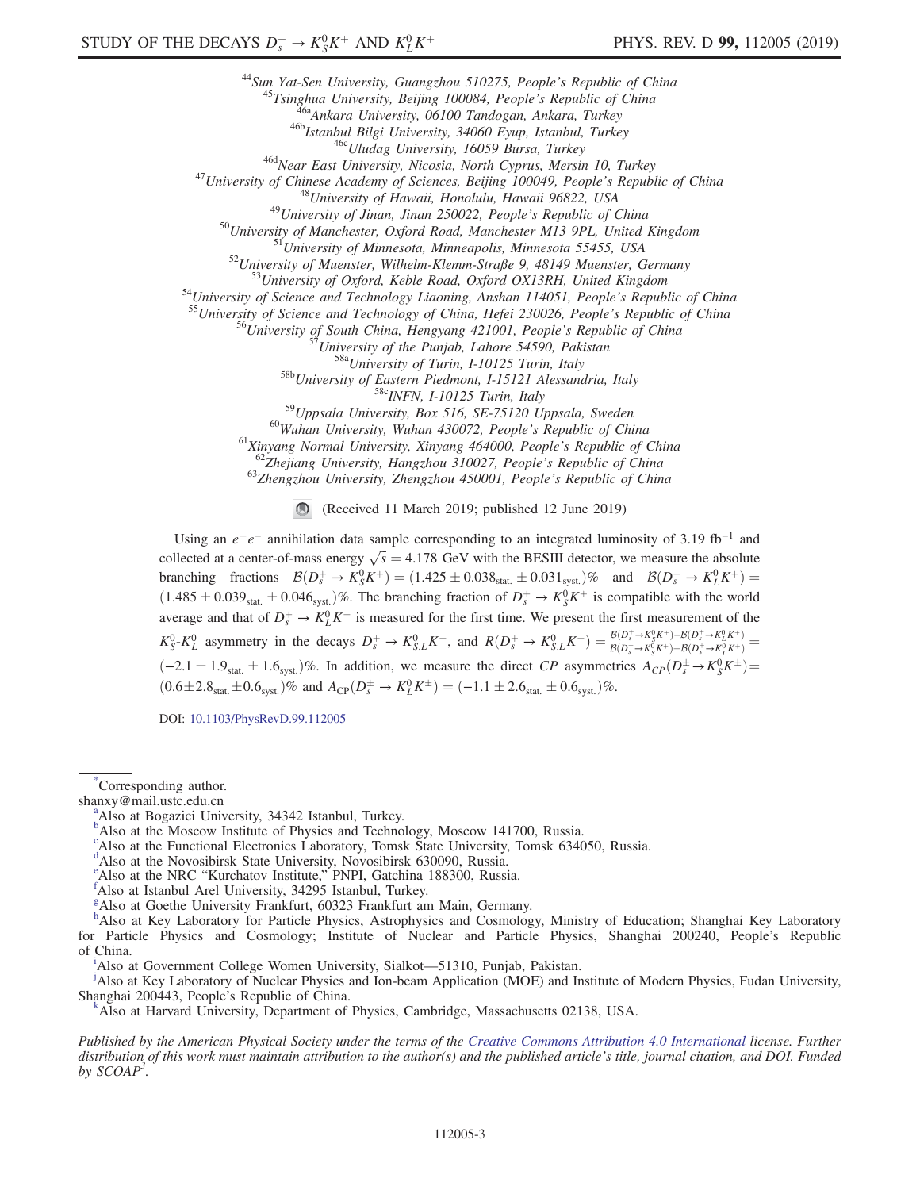<sup>44</sup> Sun Yat-Sen University, Guangzhou 510275, People's Republic of China<br>
<sup>45</sup> Tsinghua University, Beijing 10008A, People's Republic of China<br>
<sup>45</sup> Tsinghua University, Beijing 10008A, People's Republic of China<br>
<sup>465</sup>

<sup>60</sup>Wuhan University, Wuhan 430072, People's Republic of China<br><sup>61</sup>Xinyang Normal University, Xinyang 464000, People's Republic of China<br><sup>62</sup>Zhejiang University, Hangzhou 310027, People's Republic of China<br><sup>63</sup>Zhengzhou U

(Received 11 March 2019; published 12 June 2019)

Using an  $e^+e^-$  annihilation data sample corresponding to an integrated luminosity of 3.19 fb<sup>-1</sup> and collected at a center-of-mass energy  $\sqrt{s} = 4.178$  GeV with the BESIII detector, we measure the absolute branching fractions  $\mathcal{B}(D_s^+ \to K_S^0 K^+) = (1.425 \pm 0.038_{\text{stat.}} \pm 0.031_{\text{syst.}})\%$  and  $\mathcal{B}(D_s^+ \to K_L^0 K^+) =$  $(1.485 \pm 0.039_{stat.} \pm 0.046_{syst.})\%$ . The branching fraction of  $D_s^+ \to K_S^0 K^+$  is compatible with the world average and that of  $D_s^+ \to K_L^0 K^+$  is measured for the first time. We present the first measurement of the  $K_S^0 - K_L^0$  asymmetry in the decays  $D_s^+ \to K_{S,L}^0 K^+$ , and  $R(D_s^+ \to K_{S,L}^0 K^+) = \frac{B(D_s^+ \to K_S^0 K^+) - B(D_s^+ \to K_L^0 K^+)}{B(D_s^+ \to K_S^0 K^+) + B(D_s^+ \to K_L^0 K^+)}$  $\frac{1}{\mathcal{B}(D_s^+\to K_S^0K^+) + \mathcal{B}(D_s^+\to K_L^0K^+)}$  $(-2.1 \pm 1.9$ <sub>stat.</sub>  $\pm 1.6$ <sub>syst</sub>.)%. In addition, we measure the direct CP asymmetries  $A_{CP}(D_s^{\pm} \to K_S^0 K^{\pm})$  $(0.6 \pm 2.8_{\text{stat.}} \pm 0.6_{\text{syst.}})\%$  and  $A_{\text{CP}}(D_s^{\pm} \to K_L^0 K^{\pm}) = (-1.1 \pm 2.6_{\text{stat.}} \pm 0.6_{\text{syst.}})\%$ .

DOI: [10.1103/PhysRevD.99.112005](https://doi.org/10.1103/PhysRevD.99.112005)

<span id="page-2-0"></span><sup>[d](#page-0-3)</sup>Also at the Novosibirsk State University, Novosibirsk 630090, Russia.

<span id="page-2-4"></span><sup>†</sup>Also at Istanbul Arel University, 34295 Istanbul, Turkey.

<span id="page-2-3"></span>[g](#page-0-6) Also at Goethe University Frankfurt, 60323 Frankfurt am Main, Germany.

<span id="page-2-2"></span>[h](#page-0-7)<br>Also at Key Laboratory for Particle Physics, Astrophysics and Cosmology, Ministry of Education; Shanghai Key Laboratory for Particle Physics and Cosmology; Institute of Nuclear and Particle Physics, Shanghai 200240, People's Republic of Ch[i](#page-0-8)na.

<span id="page-2-7"></span><sup>1</sup>Also at Government College Women University, Sialkot—51310, Pun[j](#page-0-9)ab, Pakistan.

<span id="page-2-5"></span>Also at Key Laboratory of Nuclear Physics and Ion-beam Application (MOE) and Institute of Modern Physics, Fudan University, Shanghai 200443, People's Republic of China. [k](#page-0-3)

<span id="page-2-6"></span>Also at Harvard University, Department of Physics, Cambridge, Massachusetts 02138, USA.

Published by the American Physical Society under the terms of the [Creative Commons Attribution 4.0 International](https://creativecommons.org/licenses/by/4.0/) license. Further distribution of this work must maintain attribution to the author(s) and the published article's title, journal citation, and DOI. Funded by  $SCOAP<sup>3</sup>$ .

<span id="page-2-9"></span>[<sup>\\*</sup>](#page-0-0) Corresponding author.

<span id="page-2-10"></span>sh[a](#page-0-1)nxy@mail.ustc.edu.cn

<span id="page-2-1"></span><sup>&</sup>lt;sup>a</sup>Also at Bogazici University, 34342 Istan[b](#page-0-2)ul, Turkey.<br><sup>b</sup>Also at the Moscow Institute of Physics and Technology, Moscow 141700, Russia.

c Also at the Functional Electronics Laboratory, Tomsk State University, Tomsk 634050, Russia.

<span id="page-2-8"></span><sup>&</sup>lt;sup>[e](#page-0-4)</sup> Also at the NRC "Kurchatov Institute," PNPI, Gatchina 188300, Russia.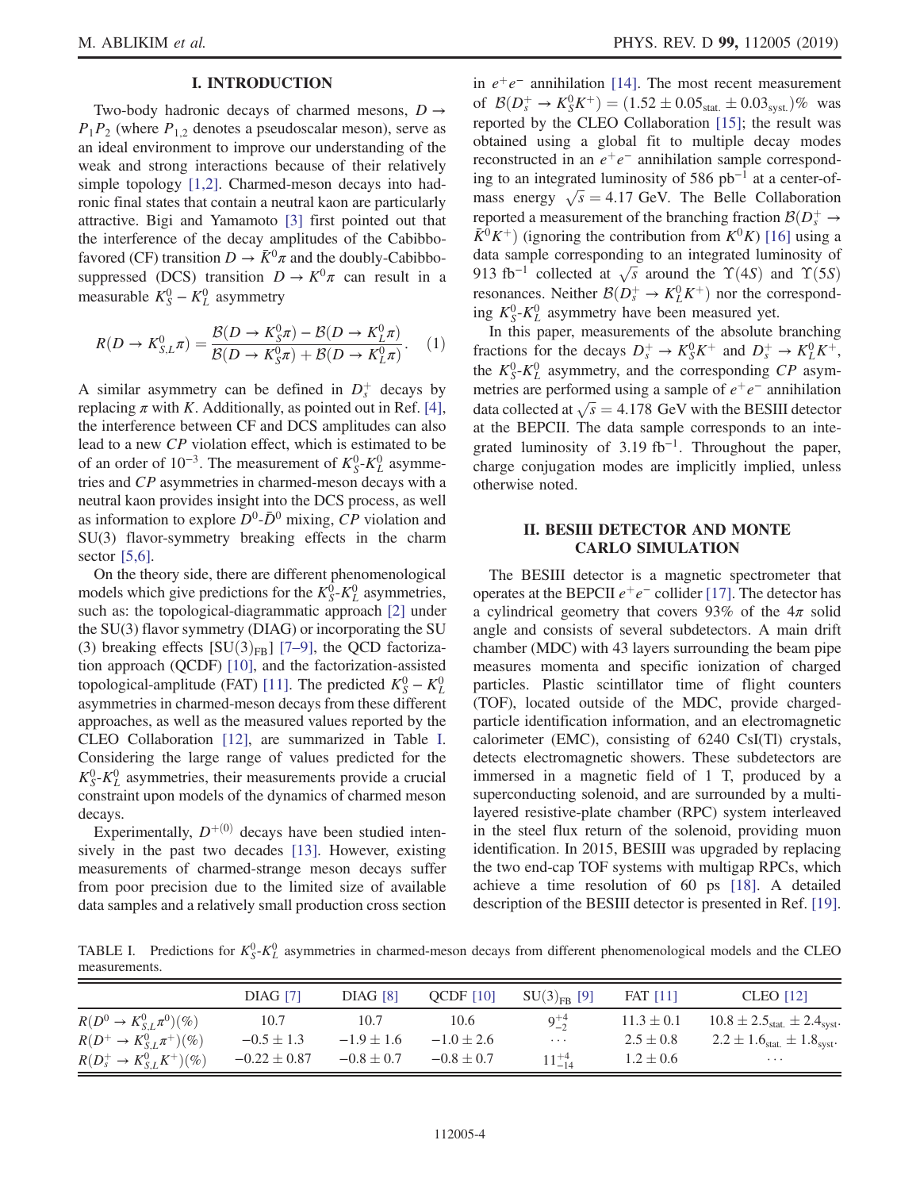### I. INTRODUCTION

Two-body hadronic decays of charmed mesons,  $D \rightarrow$  $P_1P_2$  (where  $P_{1,2}$  denotes a pseudoscalar meson), serve as an ideal environment to improve our understanding of the weak and strong interactions because of their relatively simple topology [\[1,2\]](#page-11-0). Charmed-meson decays into hadronic final states that contain a neutral kaon are particularly attractive. Bigi and Yamamoto [\[3\]](#page-11-1) first pointed out that the interference of the decay amplitudes of the Cabibbofavored (CF) transition  $D \to \bar{K}^0 \pi$  and the doubly-Cabibbosuppressed (DCS) transition  $D \to K^0 \pi$  can result in a measurable  $K_S^0 - K_L^0$  asymmetry

<span id="page-3-1"></span>
$$
R(D \to K_{S,L}^0 \pi) = \frac{\mathcal{B}(D \to K_S^0 \pi) - \mathcal{B}(D \to K_L^0 \pi)}{\mathcal{B}(D \to K_S^0 \pi) + \mathcal{B}(D \to K_L^0 \pi)}.
$$
 (1)

A similar asymmetry can be defined in  $D_s^+$  decays by replacing  $\pi$  with K. Additionally, as pointed out in Ref. [\[4\]](#page-11-2), the interference between CF and DCS amplitudes can also lead to a new CP violation effect, which is estimated to be of an order of 10<sup>-3</sup>. The measurement of  $K_S^0$ - $K_L^0$  asymmetries and CP asymmetries in charmed-meson decays with a neutral kaon provides insight into the DCS process, as well as information to explore  $D^0$ - $\bar{D}^0$  mixing, CP violation and SU(3) flavor-symmetry breaking effects in the charm sector [\[5,6\]](#page-11-3).

On the theory side, there are different phenomenological models which give predictions for the  $K_S^{\overline{0}}$ - $K_L^0$  asymmetries, such as: the topological-diagrammatic approach [\[2\]](#page-11-4) under the SU(3) flavor symmetry (DIAG) or incorporating the SU (3) breaking effects  $[SU(3)_{FB}]$  [7–[9\],](#page-11-5) the QCD factorization approach (QCDF) [\[10\],](#page-11-6) and the factorization-assisted topological-amplitude (FAT) [\[11\]](#page-11-7). The predicted  $K_S^0 - K_L^0$ asymmetries in charmed-meson decays from these different approaches, as well as the measured values reported by the CLEO Collaboration [\[12\]](#page-11-8), are summarized in Table [I](#page-3-0). Considering the large range of values predicted for the  $K_S^0$ - $K_L^0$  asymmetries, their measurements provide a crucial constraint upon models of the dynamics of charmed meson decays.

Experimentally,  $D^{+(0)}$  decays have been studied intensively in the past two decades [\[13\]](#page-11-9). However, existing measurements of charmed-strange meson decays suffer from poor precision due to the limited size of available data samples and a relatively small production cross section in  $e^+e^-$  annihilation [\[14\]](#page-11-10). The most recent measurement of  $\mathcal{B}(D_s^+ \to K_S^0 K^+) = (1.52 \pm 0.05_{stat.} \pm 0.03_{syst.})\%$  was reported by the CLEO Collaboration [\[15\];](#page-11-11) the result was obtained using a global fit to multiple decay modes reconstructed in an  $e^+e^-$  annihilation sample corresponding to an integrated luminosity of 586 pb<sup>−</sup><sup>1</sup> at a center-ofmass energy  $\sqrt{s} = 4.17$  GeV. The Belle Collaboration reported a measurement of the branching fraction  $\mathcal{B}(D_s^+ \to \mathbb{R})$  $\bar{K}^0 K^+$ ) (ignoring the contribution from  $K^0 K$ ) [\[16\]](#page-11-12) using a data sample corresponding to an integrated luminosity of 913 fb<sup>-1</sup> collected at  $\sqrt{s}$  around the  $\Upsilon(4S)$  and  $\Upsilon(5S)$ resonances. Neither  $\mathcal{B}(D_s^+ \to K_L^0 K^+)$  nor the corresponding  $K_S^0$ - $K_L^0$  asymmetry have been measured yet.

In this paper, measurements of the absolute branching fractions for the decays  $D_s^+ \to K_S^0 K^+$  and  $D_s^+ \to K_L^0 K^+$ , the  $K_S^0$ - $K_L^0$  asymmetry, and the corresponding CP asymmetries are performed using a sample of  $e^+e^-$  annihilation data collected at  $\sqrt{s} = 4.178$  GeV with the BESIII detector at the BEPCII. The data sample corresponds to an integrated luminosity of 3.19 fb<sup>-1</sup>. Throughout the paper, charge conjugation modes are implicitly implied, unless otherwise noted.

### II. BESIII DETECTOR AND MONTE CARLO SIMULATION

The BESIII detector is a magnetic spectrometer that operates at the BEPCII  $e^+e^-$  collider [\[17\]](#page-11-13). The detector has a cylindrical geometry that covers 93% of the  $4\pi$  solid angle and consists of several subdetectors. A main drift chamber (MDC) with 43 layers surrounding the beam pipe measures momenta and specific ionization of charged particles. Plastic scintillator time of flight counters (TOF), located outside of the MDC, provide chargedparticle identification information, and an electromagnetic calorimeter (EMC), consisting of 6240 CsI(Tl) crystals, detects electromagnetic showers. These subdetectors are immersed in a magnetic field of 1 T, produced by a superconducting solenoid, and are surrounded by a multilayered resistive-plate chamber (RPC) system interleaved in the steel flux return of the solenoid, providing muon identification. In 2015, BESIII was upgraded by replacing the two end-cap TOF systems with multigap RPCs, which achieve a time resolution of 60 ps [\[18\].](#page-11-14) A detailed description of the BESIII detector is presented in Ref. [\[19\]](#page-11-15).

<span id="page-3-0"></span>TABLE I. Predictions for  $K_S^0$ - $K_L^0$  asymmetries in charmed-meson decays from different phenomenological models and the CLEO measurements.

|                                  | <b>DIAG [7]</b>  | <b>DIAG</b> [8] | OCDF $[10]$    | $SU(3)_{FR}$ [9] | <b>FAT</b> [11] | <b>CLEO</b> [12]                                            |
|----------------------------------|------------------|-----------------|----------------|------------------|-----------------|-------------------------------------------------------------|
| $R(D^0 \to K_{S,I}^0 \pi^0)(\%)$ | 10.7             | 10.7            | 10.6           | $9^{+4}_{-2}$    | $11.3 \pm 0.1$  | $10.8 \pm 2.5$ <sub>stat.</sub> $\pm 2.4$ <sub>syst</sub> . |
| $R(D^+ \to K_{S,I}^0 \pi^+)(\%)$ | $-0.5 \pm 1.3$   | $-1.9 \pm 1.6$  | $-1.0 \pm 2.6$ | $\ldots$ .       | $2.5 \pm 0.8$   | $2.2 \pm 1.6$ <sub>stat.</sub> $\pm 1.8$ <sub>syst</sub> .  |
| $R(D_s^+ \to K_{S,L}^0 K^+)(\%)$ | $-0.22 \pm 0.87$ | $-0.8 \pm 0.7$  | $-0.8 \pm 0.7$ | $11^{+4}_{-14}$  | $1.2 \pm 0.6$   | $\cdots$                                                    |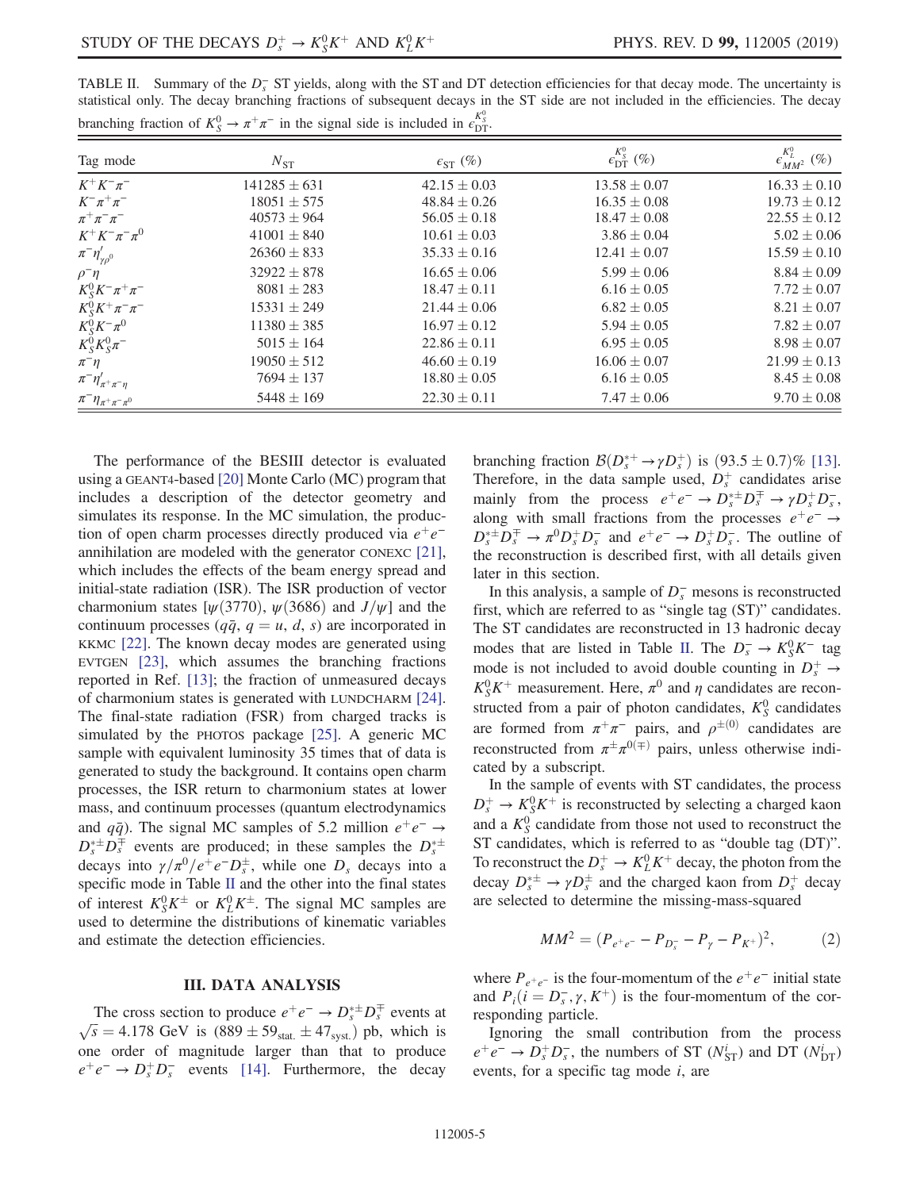| $\alpha$ or $\alpha$ is the contract of $\alpha$ or $\alpha$ in the signal side is increased in eq. |                  |                            |                                      |                                  |  |  |  |  |
|-----------------------------------------------------------------------------------------------------|------------------|----------------------------|--------------------------------------|----------------------------------|--|--|--|--|
| Tag mode                                                                                            | $N_{ST}$         | $\epsilon_{\text{ST}}$ (%) | $\epsilon_{\mathrm{DT}}^{K^0_S}$ (%) | $\epsilon_{MM^2}^{K^0_L}$ $(\%)$ |  |  |  |  |
| $K^+K^-\pi^-$                                                                                       | $141285 \pm 631$ | $42.15 \pm 0.03$           | $13.58 \pm 0.07$                     | $16.33 \pm 0.10$                 |  |  |  |  |
| $K^-\pi^+\pi^-$                                                                                     | $18051 \pm 575$  | $48.84 \pm 0.26$           | $16.35 \pm 0.08$                     | $19.73 \pm 0.12$                 |  |  |  |  |
| $\pi^+\pi^-\pi^-$                                                                                   | $40573 \pm 964$  | $56.05 \pm 0.18$           | $18.47 \pm 0.08$                     | $22.55 \pm 0.12$                 |  |  |  |  |
| $K^+K^-\pi^-\pi^0$                                                                                  | $41001 \pm 840$  | $10.61 \pm 0.03$           | $3.86 \pm 0.04$                      | $5.02 \pm 0.06$                  |  |  |  |  |
| $\pi^{-}\eta'_{\gamma\rho^{0}}$                                                                     | $26360 \pm 833$  | $35.33 \pm 0.16$           | $12.41 \pm 0.07$                     | $15.59 \pm 0.10$                 |  |  |  |  |
| $\rho^-\eta$                                                                                        | $32922 \pm 878$  | $16.65 \pm 0.06$           | $5.99 \pm 0.06$                      | $8.84 \pm 0.09$                  |  |  |  |  |
| $K_S^0 K^- \pi^+ \pi^-$                                                                             | $8081 \pm 283$   | $18.47 \pm 0.11$           | $6.16 \pm 0.05$                      | $7.72 \pm 0.07$                  |  |  |  |  |
| $K_S^0 K^+ \pi^- \pi^-$                                                                             | $15331 \pm 249$  | $21.44 \pm 0.06$           | $6.82 \pm 0.05$                      | $8.21 \pm 0.07$                  |  |  |  |  |
| $K_S^0 K^- \pi^0$                                                                                   | $11380 \pm 385$  | $16.97 \pm 0.12$           | $5.94 \pm 0.05$                      | $7.82 \pm 0.07$                  |  |  |  |  |
| $K_S^0 K_S^0 \pi^-$                                                                                 | $5015 \pm 164$   | $22.86 \pm 0.11$           | $6.95 \pm 0.05$                      | $8.98 \pm 0.07$                  |  |  |  |  |
| $\pi^-\eta$                                                                                         | $19050 \pm 512$  | $46.60 \pm 0.19$           | $16.06 \pm 0.07$                     | $21.99 \pm 0.13$                 |  |  |  |  |
| $\pi^{-}\eta^{\prime}_{\pi^{+}\pi^{-}\eta}$                                                         | $7694 \pm 137$   | $18.80 \pm 0.05$           | $6.16 \pm 0.05$                      | $8.45 \pm 0.08$                  |  |  |  |  |
| $\pi^-\eta_{\pi^+\pi^-\pi^0}$                                                                       | $5448 \pm 169$   | $22.30 \pm 0.11$           | $7.47 \pm 0.06$                      | $9.70 \pm 0.08$                  |  |  |  |  |

<span id="page-4-0"></span>TABLE II. Summary of the  $D_s^-$  ST yields, along with the ST and DT detection efficiencies for that decay mode. The uncertainty is statistical only. The decay branching fractions of subsequent decays in the ST side are not included in the efficiencies. The decay branching fraction of  $K_S^0 \to \pi^+ \pi^-$  in the signal side is included in  $\epsilon_{\text{DT}}^{K_S^0}$ .

The performance of the BESIII detector is evaluated using a GEANT4-based [\[20\]](#page-11-18) Monte Carlo (MC) program that includes a description of the detector geometry and simulates its response. In the MC simulation, the production of open charm processes directly produced via  $e^+e^$ annihilation are modeled with the generator CONEXC [\[21\]](#page-11-19), which includes the effects of the beam energy spread and initial-state radiation (ISR). The ISR production of vector charmonium states  $[\psi(3770), \psi(3686)$  and  $J/\psi]$  and the continuum processes  $(q\bar{q}, q = u, d, s)$  are incorporated in KKMC [\[22\].](#page-11-20) The known decay modes are generated using EVTGEN [\[23\]](#page-11-21), which assumes the branching fractions reported in Ref. [\[13\];](#page-11-9) the fraction of unmeasured decays of charmonium states is generated with LUNDCHARM [\[24\]](#page-11-22). The final-state radiation (FSR) from charged tracks is simulated by the PHOTOS package [\[25\].](#page-11-23) A generic MC sample with equivalent luminosity 35 times that of data is generated to study the background. It contains open charm processes, the ISR return to charmonium states at lower mass, and continuum processes (quantum electrodynamics and  $q\bar{q}$ ). The signal MC samples of 5.2 million  $e^+e^- \rightarrow$  $D_s^*$   $\pm D_s^{\mp}$  events are produced; in these samples the  $D_s^*$ decays into  $\gamma/\pi^0/e^+e^-D_s^{\pm}$ , while one  $D_s$  decays into a specific mode in Table [II](#page-4-0) and the other into the final states of interest  $K_S^0 K^{\pm}$  or  $K_L^0 K^{\pm}$ . The signal MC samples are used to determine the distributions of kinematic variables and estimate the detection efficiencies.

### III. DATA ANALYSIS

The cross section to produce  $e^+e^- \to D_s^{*\pm}D_s^{\mp}$  events at  $\sqrt{s} = 4.178 \text{ GeV}$  is  $(889 \pm 59_{\text{stat.}} \pm 47_{\text{syst.}})$  pb, which is one order of magnitude larger than that to produce  $e^+e^- \rightarrow D_s^+D_s^-$  events [\[14\].](#page-11-10) Furthermore, the decay

branching fraction  $\mathcal{B}(D_s^{*+} \to \gamma D_s^+)$  is  $(93.5 \pm 0.7)\%$  [\[13\]](#page-11-9). Therefore, in the data sample used,  $D_s^+$  candidates arise mainly from the process  $e^+e^- \rightarrow D_s^{*\pm}D_s^{\mp} \rightarrow \gamma D_s^{+}D_s^{-}$ , along with small fractions from the processes  $e^+e^- \rightarrow$  $D_s^{\ast \pm} D_s^{\mp} \to \pi^0 D_s^{\mp} D_s^-$  and  $e^+ e^- \to D_s^{\mp} D_s^-$ . The outline of the reconstruction is described first, with all details given later in this section.

In this analysis, a sample of  $D_s^-$  mesons is reconstructed first, which are referred to as "single tag (ST)" candidates. The ST candidates are reconstructed in 13 hadronic decay modes that are listed in Table [II](#page-4-0). The  $D_s^- \to K_S^0 K^-$  tag mode is not included to avoid double counting in  $D_s^+ \rightarrow$  $K_S^0 K^+$  measurement. Here,  $\pi^0$  and  $\eta$  candidates are reconstructed from a pair of photon candidates,  $K_S^0$  candidates are formed from  $\pi^+\pi^-$  pairs, and  $\rho^{\pm(0)}$  candidates are reconstructed from  $\pi^{\pm} \pi^{0(\mp)}$  pairs, unless otherwise indicated by a subscript.

In the sample of events with ST candidates, the process  $D_s^+ \rightarrow K_S^0 K^+$  is reconstructed by selecting a charged kaon and a  $K_S^0$  candidate from those not used to reconstruct the ST candidates, which is referred to as "double tag (DT)". To reconstruct the  $D_s^+ \to K_L^0 K^+$  decay, the photon from the decay  $D_s^{\ast \pm} \rightarrow \gamma D_s^{\pm}$  and the charged kaon from  $D_s^+$  decay are selected to determine the missing-mass-squared

$$
MM^2 = (P_{e^+e^-} - P_{D_s^-} - P_\gamma - P_{K^+})^2, \tag{2}
$$

where  $P_{e^+e^-}$  is the four-momentum of the  $e^+e^-$  initial state and  $P_i(i = D_s^-,\gamma,K^+)$  is the four-momentum of the corresponding particle.

<span id="page-4-1"></span>Ignoring the small contribution from the process  $e^+e^- \to D_s^+D_s^-$ , the numbers of ST ( $N_{\rm ST}^i$ ) and DT ( $N_{\rm DT}^i$ ) events, for a specific tag mode i, are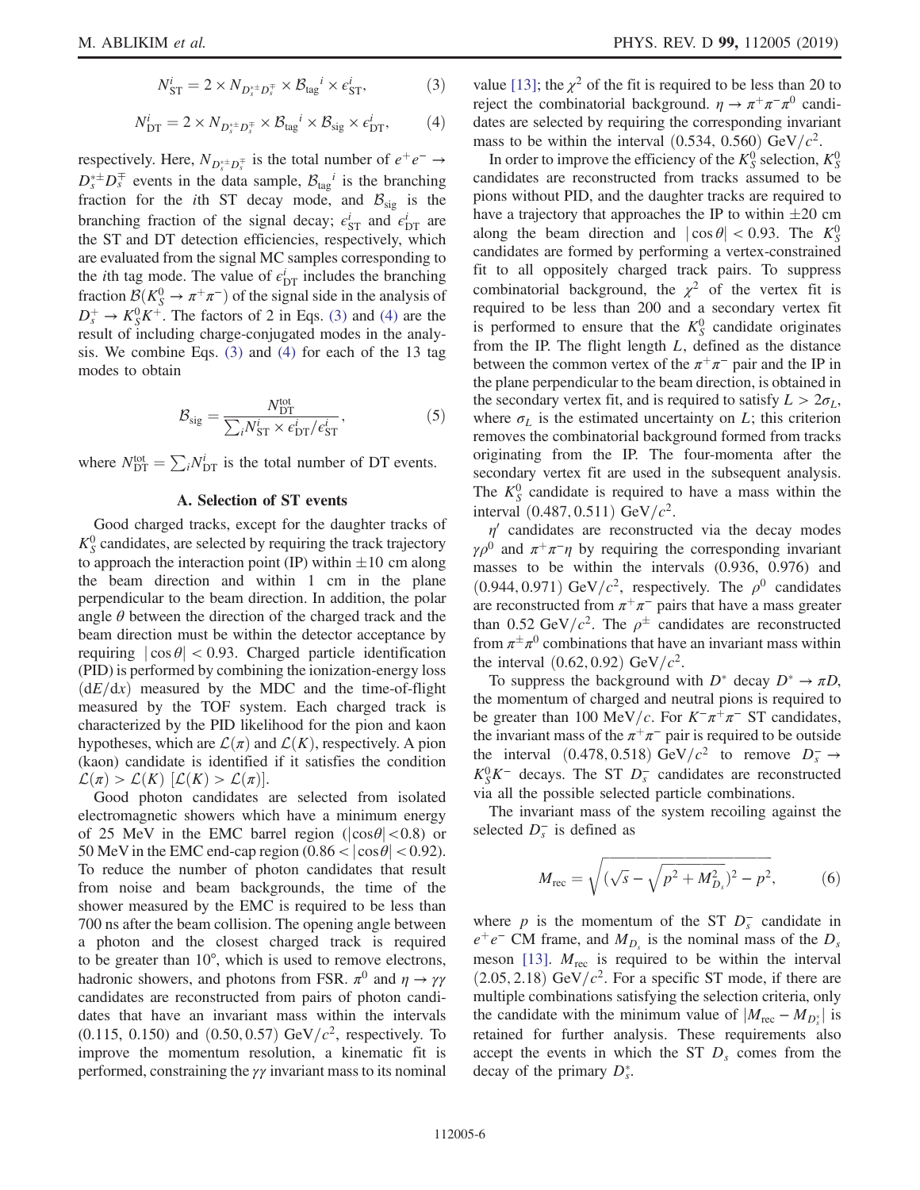$$
N_{\rm ST}^i = 2 \times N_{D_s^{* \pm} D_s^{\mp}} \times \mathcal{B}_{\rm tag}^i \times \epsilon_{\rm ST}^i,\tag{3}
$$

$$
N_{\rm DT}^i = 2 \times N_{D_s^{* \pm} D_s^{\mp}} \times \mathcal{B}_{\rm tag}^i \times \mathcal{B}_{\rm sig} \times \epsilon_{\rm DT}^i, \tag{4}
$$

<span id="page-5-0"></span>respectively. Here,  $N_{D_s^{*\pm}D_s^{\mp}}$  is the total number of  $e^+e^- \rightarrow$  $D_s^{\ast \pm} D_s^{\mp}$  events in the data sample,  $B_{\text{tag}}^i$  is the branching fraction for the *i*th ST decay mode, and  $B_{sig}$  is the branching fraction of the signal decay;  $\epsilon_{\text{ST}}^i$  and  $\epsilon_{\text{DT}}^i$  are the ST and DT detection efficiencies, respectively, which are evaluated from the signal MC samples corresponding to the *i*th tag mode. The value of  $\epsilon_{\text{DT}}^i$  includes the branching fraction  $\mathcal{B}(K_S^0 \to \pi^+\pi^-)$  of the signal side in the analysis of  $D_s^+ \rightarrow K_S^0 K^+$ . The factors of 2 in Eqs. [\(3\)](#page-4-1) and [\(4\)](#page-5-0) are the result of including charge-conjugated modes in the analysis. We combine Eqs. [\(3\)](#page-4-1) and [\(4\)](#page-5-0) for each of the 13 tag modes to obtain

$$
\mathcal{B}_{\text{sig}} = \frac{N_{\text{DT}}^{\text{tot}}}{\sum_{i} N_{\text{ST}}^{i} \times \epsilon_{\text{DT}}^{i} / \epsilon_{\text{ST}}^{i}},\tag{5}
$$

<span id="page-5-2"></span><span id="page-5-1"></span>where  $N_{\text{DT}}^{\text{tot}} = \sum_i N_{\text{DT}}^i$  is the total number of DT events.

### A. Selection of ST events

Good charged tracks, except for the daughter tracks of  $K_S^0$  candidates, are selected by requiring the track trajectory to approach the interaction point (IP) within  $\pm 10$  cm along the beam direction and within 1 cm in the plane perpendicular to the beam direction. In addition, the polar angle  $\theta$  between the direction of the charged track and the beam direction must be within the detector acceptance by requiring  $|\cos \theta|$  < 0.93. Charged particle identification (PID) is performed by combining the ionization-energy loss  $(dE/dx)$  measured by the MDC and the time-of-flight measured by the TOF system. Each charged track is characterized by the PID likelihood for the pion and kaon hypotheses, which are  $\mathcal{L}(\pi)$  and  $\mathcal{L}(K)$ , respectively. A pion (kaon) candidate is identified if it satisfies the condition  $\mathcal{L}(\pi) > \mathcal{L}(K)$   $[\mathcal{L}(K) > \mathcal{L}(\pi)].$ 

Good photon candidates are selected from isolated electromagnetic showers which have a minimum energy of 25 MeV in the EMC barrel region ( $|\cos\theta|$  < 0.8) or 50 MeV in the EMC end-cap region  $(0.86 < |cos\theta| < 0.92)$ . To reduce the number of photon candidates that result from noise and beam backgrounds, the time of the shower measured by the EMC is required to be less than 700 ns after the beam collision. The opening angle between a photon and the closest charged track is required to be greater than 10°, which is used to remove electrons, hadronic showers, and photons from FSR.  $\pi^0$  and  $\eta \to \gamma \gamma$ candidates are reconstructed from pairs of photon candidates that have an invariant mass within the intervals (0.115, 0.150) and  $(0.50, 0.57)$  GeV/ $c^2$ , respectively. To improve the momentum resolution, a kinematic fit is performed, constraining the  $\gamma\gamma$  invariant mass to its nominal value [\[13\]](#page-11-9); the  $\chi^2$  of the fit is required to be less than 20 to reject the combinatorial background.  $\eta \to \pi^+ \pi^- \pi^0$  candidates are selected by requiring the corresponding invariant mass to be within the interval  $(0.534, 0.560)$  GeV/ $c^2$ .

In order to improve the efficiency of the  $K_S^0$  selection,  $K_S^0$ candidates are reconstructed from tracks assumed to be pions without PID, and the daughter tracks are required to have a trajectory that approaches the IP to within  $\pm 20$  cm along the beam direction and  $|\cos \theta| < 0.93$ . The  $K_S^0$ candidates are formed by performing a vertex-constrained fit to all oppositely charged track pairs. To suppress combinatorial background, the  $\chi^2$  of the vertex fit is required to be less than 200 and a secondary vertex fit is performed to ensure that the  $K_S^0$  candidate originates from the IP. The flight length  $L$ , defined as the distance between the common vertex of the  $\pi^+\pi^-$  pair and the IP in the plane perpendicular to the beam direction, is obtained in the secondary vertex fit, and is required to satisfy  $L > 2\sigma_L$ , where  $\sigma_L$  is the estimated uncertainty on L; this criterion removes the combinatorial background formed from tracks originating from the IP. The four-momenta after the secondary vertex fit are used in the subsequent analysis. The  $K_S^0$  candidate is required to have a mass within the interval  $(0.487, 0.511) GeV/c^2$ .

 $\eta'$  candidates are reconstructed via the decay modes  $\gamma \rho^0$  and  $\pi^+ \pi^- \eta$  by requiring the corresponding invariant masses to be within the intervals (0.936, 0.976) and  $(0.944, 0.971)$  GeV/ $c^2$ , respectively. The  $\rho^0$  candidates are reconstructed from  $\pi^+\pi^-$  pairs that have a mass greater than 0.52 GeV/ $c^2$ . The  $\rho^{\pm}$  candidates are reconstructed from  $\pi^{\pm}\pi^{0}$  combinations that have an invariant mass within the interval  $(0.62, 0.92)$  GeV/ $c^2$ .

To suppress the background with  $D^*$  decay  $D^* \to \pi D$ , the momentum of charged and neutral pions is required to be greater than 100 MeV/c. For  $K^-\pi^+\pi^-$  ST candidates, the invariant mass of the  $\pi^+\pi^-$  pair is required to be outside the interval  $(0.478, 0.518)$  GeV/ $c^2$  to remove  $D_s^- \rightarrow$  $K_S^0 K^-$  decays. The ST  $D_s^-$  candidates are reconstructed via all the possible selected particle combinations.

The invariant mass of the system recoiling against the selected  $D_s^-$  is defined as

$$
M_{\rm rec} = \sqrt{(\sqrt{s} - \sqrt{p^2 + M_{D_s}^2})^2 - p^2},
$$
 (6)

where p is the momentum of the ST  $D_s^-$  candidate in  $e^+e^-$  CM frame, and  $M_{D_s}$  is the nominal mass of the  $D_s$ meson [\[13\].](#page-11-9)  $M_{\text{rec}}$  is required to be within the interval  $(2.05, 2.18)$  GeV/ $c<sup>2</sup>$ . For a specific ST mode, if there are multiple combinations satisfying the selection criteria, only the candidate with the minimum value of  $|M_{\text{rec}} - M_{D_s^*}|$  is retained for further analysis. These requirements also accept the events in which the ST  $D<sub>s</sub>$  comes from the decay of the primary  $D_s^*$ .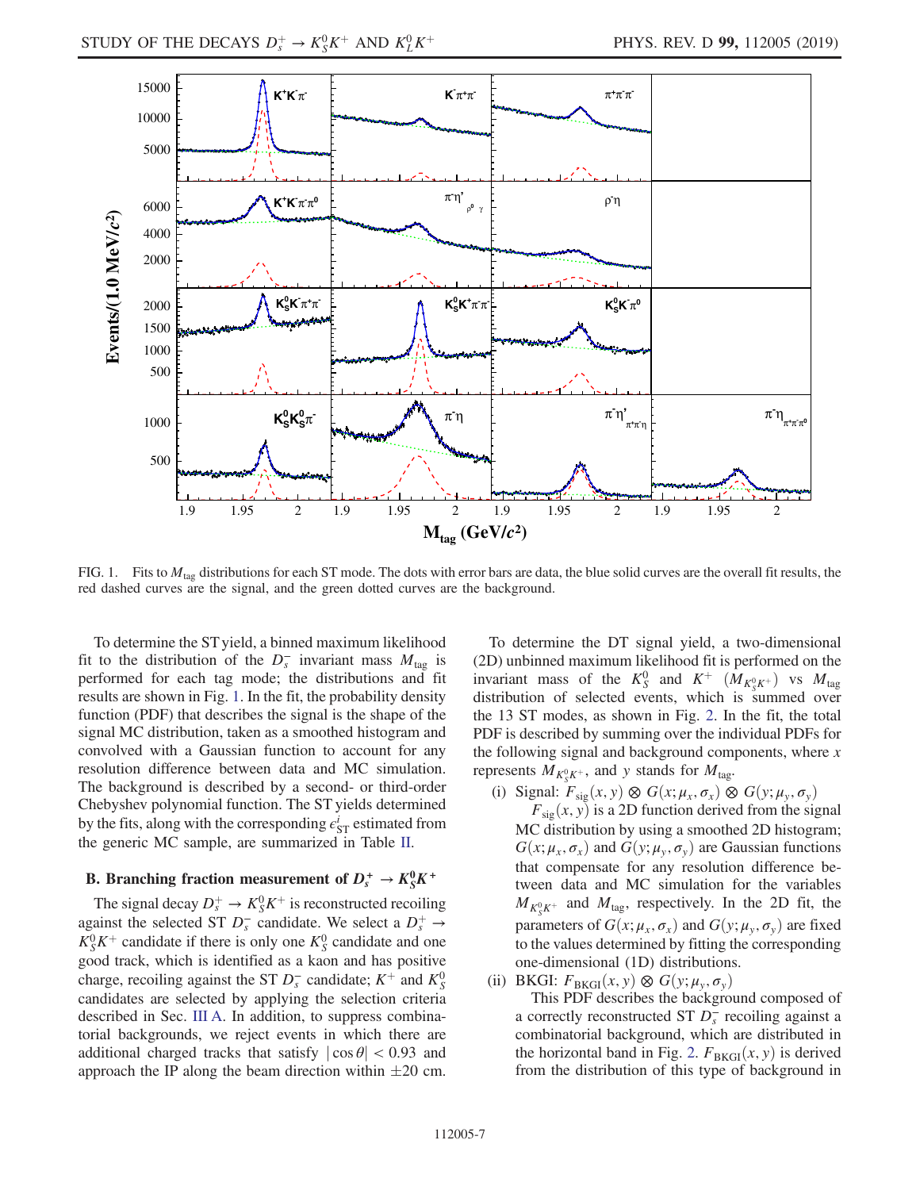<span id="page-6-0"></span>

FIG. 1. Fits to  $M<sub>tan</sub>$  distributions for each ST mode. The dots with error bars are data, the blue solid curves are the overall fit results, the red dashed curves are the signal, and the green dotted curves are the background.

To determine the ST yield, a binned maximum likelihood fit to the distribution of the  $D_s^-$  invariant mass  $M_{\text{tag}}$  is performed for each tag mode; the distributions and fit results are shown in Fig. [1.](#page-6-0) In the fit, the probability density function (PDF) that describes the signal is the shape of the signal MC distribution, taken as a smoothed histogram and convolved with a Gaussian function to account for any resolution difference between data and MC simulation. The background is described by a second- or third-order Chebyshev polynomial function. The ST yields determined by the fits, along with the corresponding  $\epsilon_{ST}^i$  estimated from the generic MC sample, are summarized in Table [II](#page-4-0).

## <span id="page-6-1"></span>B. Branching fraction measurement of  $D_s^+ \rightarrow K_S^0 K^+$

The signal decay  $D_s^+ \to K_S^0 K^+$  is reconstructed recoiling against the selected ST  $D_s^-$  candidate. We select a  $D_s^+ \rightarrow$  $K_S^0 K^+$  candidate if there is only one  $K_S^0$  candidate and one good track, which is identified as a kaon and has positive charge, recoiling against the ST  $D_s^-$  candidate;  $K^+$  and  $K_S^0$ candidates are selected by applying the selection criteria described in Sec. [III A](#page-5-1). In addition, to suppress combinatorial backgrounds, we reject events in which there are additional charged tracks that satisfy  $|\cos \theta|$  < 0.93 and approach the IP along the beam direction within  $\pm 20$  cm.

To determine the DT signal yield, a two-dimensional (2D) unbinned maximum likelihood fit is performed on the invariant mass of the  $K_S^0$  and  $K^+$   $(M_{K_S^0 K^+})$  vs  $M_{\text{tag}}$ distribution of selected events, which is summed over the 13 ST modes, as shown in Fig. [2](#page-7-0). In the fit, the total PDF is described by summing over the individual PDFs for the following signal and background components, where  $x$ represents  $\ddot{M}_{K^0_S K^+}$ , and y stands for  $M_{\text{tag}}$ .

(i) Signal:  $F_{sig}(x, y) \otimes G(x; \mu_x, \sigma_x) \otimes G(y; \mu_y, \sigma_y)$ 

 $F_{\text{sig}}(x, y)$  is a 2D function derived from the signal MC distribution by using a smoothed 2D histogram;  $G(x; \mu_x, \sigma_x)$  and  $G(y; \mu_y, \sigma_y)$  are Gaussian functions that compensate for any resolution difference between data and MC simulation for the variables  $M_{K_S^0 K^+}$  and  $M_{\text{tag}}$ , respectively. In the 2D fit, the parameters of  $G(x; \mu_x, \sigma_x)$  and  $G(y; \mu_y, \sigma_y)$  are fixed to the values determined by fitting the corresponding one-dimensional (1D) distributions.

(ii) BKGI:  $F_{BKGI}(x, y) \otimes G(y; \mu_v, \sigma_v)$ 

This PDF describes the background composed of a correctly reconstructed ST  $\overline{D_s}$  recoiling against a combinatorial background, which are distributed in the horizontal band in Fig. [2.](#page-7-0)  $F_{BKGI}(x, y)$  is derived from the distribution of this type of background in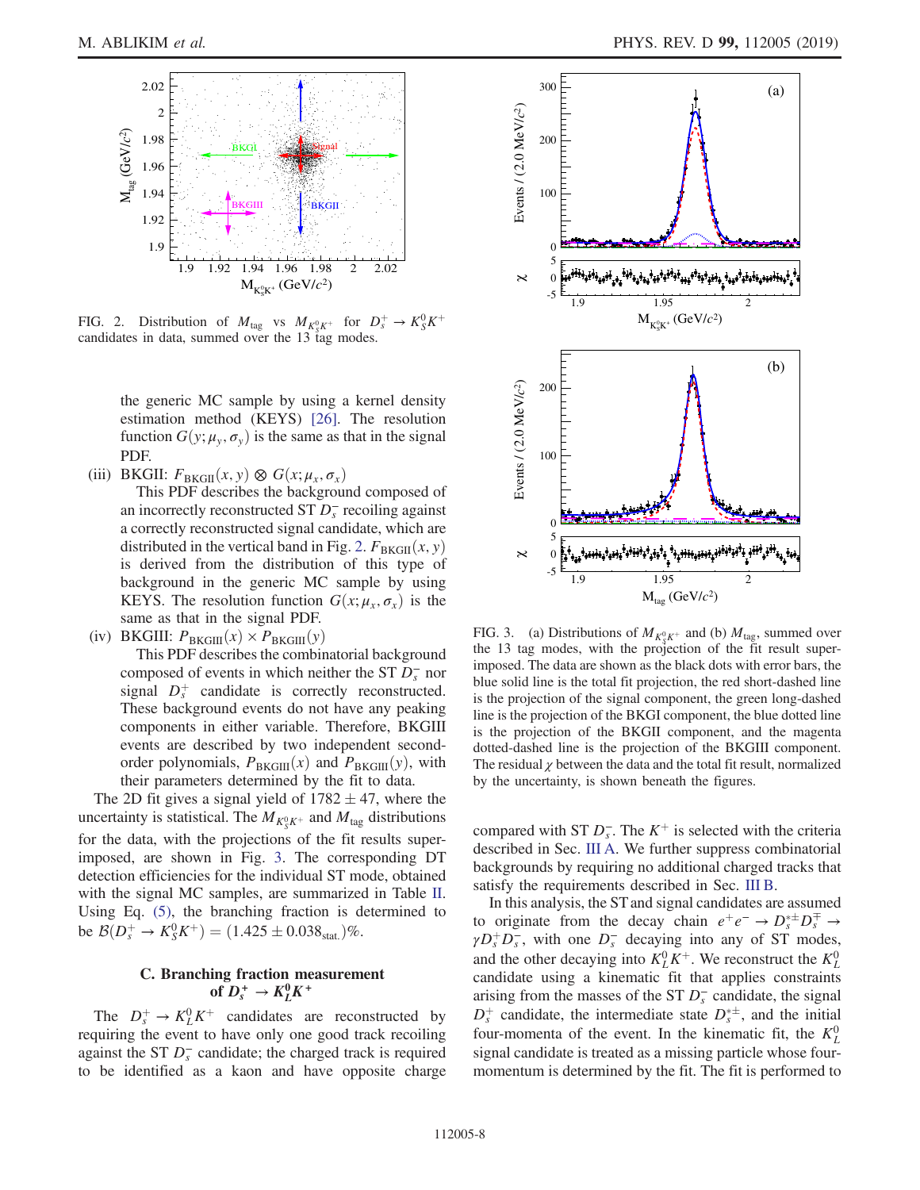<span id="page-7-0"></span>

FIG. 2. Distribution of  $M_{\text{tag}}$  vs  $M_{K_S^0 K^+}$  for  $D_s^+ \to K_S^0 K^+$ candidates in data, summed over the 13 tag modes.

the generic MC sample by using a kernel density estimation method (KEYS) [\[26\]](#page-11-24). The resolution function  $G(y; \mu_v, \sigma_v)$  is the same as that in the signal PDF.

(iii) BKGII:  $F_{BKGII}(x, y) \otimes G(x; \mu_x, \sigma_x)$ 

This PDF describes the background composed of an incorrectly reconstructed ST  $\overline{D_s}$  recoiling against a correctly reconstructed signal candidate, which are distributed in the vertical band in Fig. [2.](#page-7-0)  $F_{\text{BKGII}}(x, y)$ is derived from the distribution of this type of background in the generic MC sample by using KEYS. The resolution function  $G(x; \mu_x, \sigma_x)$  is the same as that in the signal PDF.

(iv) BKGIII:  $P_{\text{BKGIII}}(x) \times P_{\text{BKGIII}}(y)$ 

This PDF describes the combinatorial background composed of events in which neither the ST  $\overline{D_s}$  nor signal  $D_s^+$  candidate is correctly reconstructed. These background events do not have any peaking components in either variable. Therefore, BKGIII events are described by two independent secondorder polynomials,  $P_{\text{BKGIII}}(x)$  and  $P_{\text{BKGIII}}(y)$ , with their parameters determined by the fit to data.

The 2D fit gives a signal yield of  $1782 \pm 47$ , where the uncertainty is statistical. The  $M_{K^0_s K^+}$  and  $M_{\text{tag}}$  distributions for the data, with the projections of the fit results superimposed, are shown in Fig. [3.](#page-7-1) The corresponding DT detection efficiencies for the individual ST mode, obtained with the signal MC samples, are summarized in Table [II](#page-4-0). Using Eq. [\(5\),](#page-5-2) the branching fraction is determined to be  $\mathcal{B}(D_s^+ \to K_S^0 K^+) = (1.425 \pm 0.038_{\text{stat.}})\%$ .

### C. Branching fraction measurement of  $D_s^+ \rightarrow K_L^0 K^+$

The  $D_s^+ \to K_L^0 K^+$  candidates are reconstructed by requiring the event to have only one good track recoiling against the ST  $D_s^-$  candidate; the charged track is required to be identified as a kaon and have opposite charge

<span id="page-7-1"></span>

FIG. 3. (a) Distributions of  $M_{K^0_s K^+}$  and (b)  $M_{\text{tag}}$ , summed over the 13 tag modes, with the projection of the fit result superimposed. The data are shown as the black dots with error bars, the blue solid line is the total fit projection, the red short-dashed line is the projection of the signal component, the green long-dashed line is the projection of the BKGI component, the blue dotted line is the projection of the BKGII component, and the magenta dotted-dashed line is the projection of the BKGIII component. The residual  $\chi$  between the data and the total fit result, normalized by the uncertainty, is shown beneath the figures.

compared with ST  $D_s^-$ . The K<sup>+</sup> is selected with the criteria described in Sec. [III A.](#page-5-1) We further suppress combinatorial backgrounds by requiring no additional charged tracks that satisfy the requirements described in Sec. [III B](#page-6-1).

In this analysis, the ST and signal candidates are assumed to originate from the decay chain  $e^+e^- \rightarrow D_s^{\ast \pm} D_s^{\mp} \rightarrow$  $\gamma D_s^+ D_s^-$ , with one  $D_s^-$  decaying into any of ST modes, and the other decaying into  $K^0_L K^+$ . We reconstruct the  $K^0_L$ candidate using a kinematic fit that applies constraints arising from the masses of the ST  $D_s^-$  candidate, the signal  $D_s^+$  candidate, the intermediate state  $D_s^{*\pm}$ , and the initial four-momenta of the event. In the kinematic fit, the  $K<sub>L</sub><sup>0</sup>$ signal candidate is treated as a missing particle whose fourmomentum is determined by the fit. The fit is performed to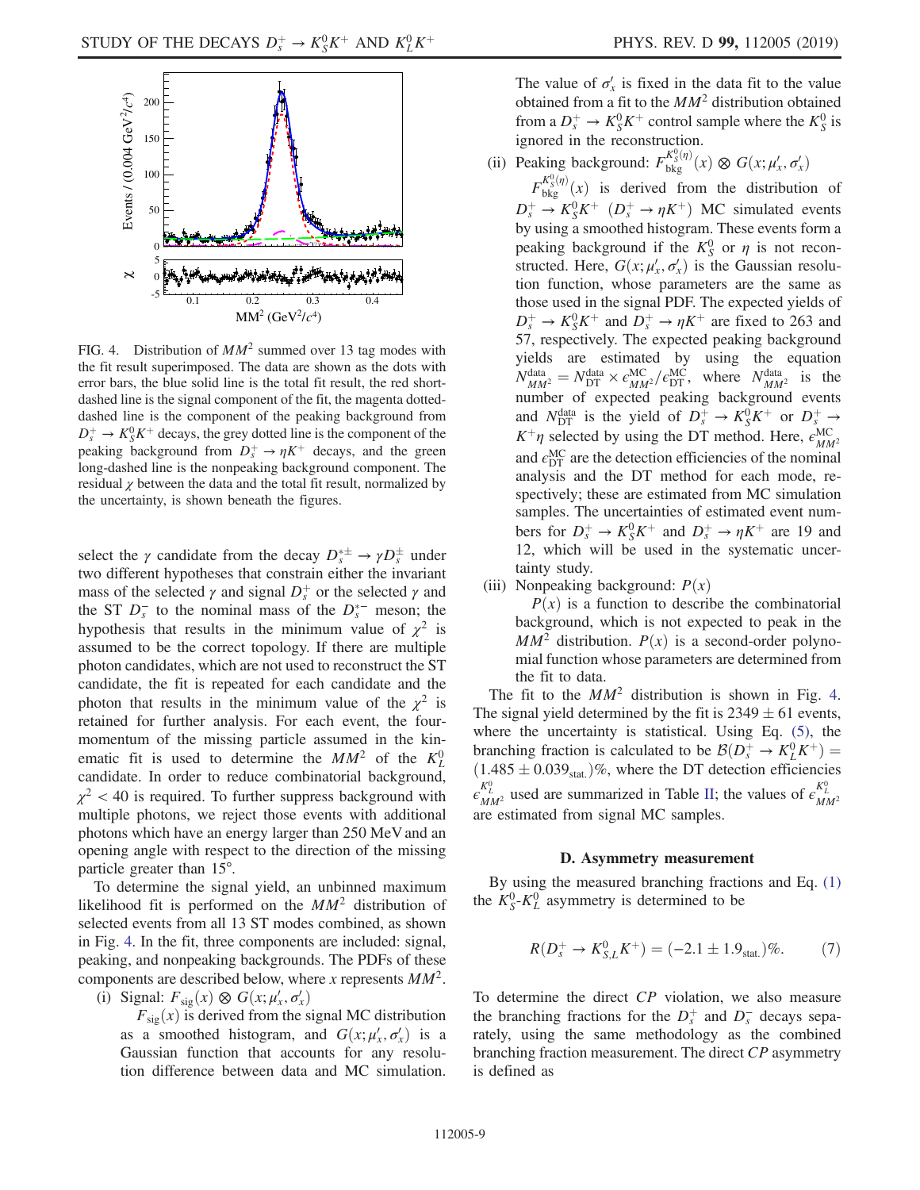<span id="page-8-0"></span>

FIG. 4. Distribution of  $MM^2$  summed over 13 tag modes with the fit result superimposed. The data are shown as the dots with error bars, the blue solid line is the total fit result, the red shortdashed line is the signal component of the fit, the magenta dotteddashed line is the component of the peaking background from  $D_s^+ \rightarrow K_S^0 K^+$  decays, the grey dotted line is the component of the peaking background from  $D_s^+ \rightarrow \eta K^+$  decays, and the green long-dashed line is the nonpeaking background component. The residual  $\chi$  between the data and the total fit result, normalized by the uncertainty, is shown beneath the figures.

select the  $\gamma$  candidate from the decay  $D_s^{*\pm} \to \gamma D_s^{\pm}$  under two different hypotheses that constrain either the invariant mass of the selected  $\gamma$  and signal  $D_s^+$  or the selected  $\gamma$  and the ST  $D_s^-$  to the nominal mass of the  $D_s^{*-}$  meson; the hypothesis that results in the minimum value of  $\chi^2$  is assumed to be the correct topology. If there are multiple photon candidates, which are not used to reconstruct the ST candidate, the fit is repeated for each candidate and the photon that results in the minimum value of the  $\chi^2$  is retained for further analysis. For each event, the fourmomentum of the missing particle assumed in the kinematic fit is used to determine the  $MM^2$  of the  $K^0_L$ candidate. In order to reduce combinatorial background,  $\chi^2$  < 40 is required. To further suppress background with multiple photons, we reject those events with additional photons which have an energy larger than 250 MeV and an opening angle with respect to the direction of the missing particle greater than 15°.

To determine the signal yield, an unbinned maximum likelihood fit is performed on the  $MM^2$  distribution of selected events from all 13 ST modes combined, as shown in Fig. [4.](#page-8-0) In the fit, three components are included: signal, peaking, and nonpeaking backgrounds. The PDFs of these components are described below, where x represents  $MM^2$ .

(i) Signal:  $F_{sig}(x) \otimes G(x; \mu'_x, \sigma'_x)$ 

 $F_{sig}(x)$  is derived from the signal MC distribution as a smoothed histogram, and  $G(x; \mu'_x, \sigma'_x)$  is a Gaussian function that accounts for any resolution difference between data and MC simulation.

The value of  $\sigma'_{x}$  is fixed in the data fit to the value obtained from a fit to the  $MM^2$  distribution obtained from a  $D_s^+ \to K_S^0 K^+$  control sample where the  $K_S^0$  is ignored in the reconstruction.

(ii) Peaking background:  $F_{\text{bkg}}^{K_S^0(\eta)}(x) \otimes G(x; \mu'_x, \sigma'_x)$ 

 $F_{\text{bkg}}^{K_{\text{S}}^{0}(\eta)}(x)$  is derived from the distribution of  $D_s^+ \to K_S^0 K^+$   $(D_s^+ \to \eta K^+)$  MC simulated events by using a smoothed histogram. These events form a peaking background if the  $K_S^0$  or  $\eta$  is not reconstructed. Here,  $G(x; \mu'_x, \sigma'_x)$  is the Gaussian resolution function, whose parameters are the same as those used in the signal PDF. The expected yields of  $D_s^+ \to K_S^0 K^+$  and  $D_s^+ \to \eta K^+$  are fixed to 263 and 57, respectively. The expected peaking background yields are estimated by using the equation  $N_{MM^2}^{\text{data}} = N_{\text{DT}}^{\text{data}} \times \epsilon_{MM^2}^{\text{MC}} / \epsilon_{\text{DT}}^{\text{MC}}$ , where  $N_{MM^2}^{\text{data}}$  is the number of expected peaking background events and  $N_{\text{DT}}^{\text{data}}$  is the yield of  $D_s^+ \rightarrow K_S^0 K^+$  or  $D_s^+ \rightarrow$  $K^+\eta$  selected by using the DT method. Here,  $\epsilon_{MM^2}^{MC}$ and  $\epsilon_{\mathrm{DT}}^{\mathrm{MC}}$  are the detection efficiencies of the nominal analysis and the DT method for each mode, respectively; these are estimated from MC simulation samples. The uncertainties of estimated event numbers for  $D_s^+ \to K_S^0 K^+$  and  $D_s^+ \to \eta K^+$  are 19 and 12, which will be used in the systematic uncertainty study.

(iii) Nonpeaking background:  $P(x)$ 

 $P(x)$  is a function to describe the combinatorial background, which is not expected to peak in the  $MM^2$  distribution.  $P(x)$  is a second-order polynomial function whose parameters are determined from the fit to data.

The fit to the  $MM^2$  distribution is shown in Fig. [4](#page-8-0). The signal yield determined by the fit is  $2349 \pm 61$  events, where the uncertainty is statistical. Using Eq. [\(5\)](#page-5-2), the branching fraction is calculated to be  $\mathcal{B}(D_s^+ \to K_L^0 K^+)$  =  $(1.485 \pm 0.039<sub>stat.</sub>)\%$ , where the DT detection efficiencies  $\epsilon_{MM^2}^{K^0_L}$  used are summarized in Table [II;](#page-4-0) the values of  $\epsilon_{MM^2}^{K^0_L}$ are estimated from signal MC samples.

### D. Asymmetry measurement

By using the measured branching fractions and Eq. [\(1\)](#page-3-1) the  $K_S^0$ - $K_L^0$  asymmetry is determined to be

$$
R(D_s^+ \to K_{S,L}^0 K^+) = (-2.1 \pm 1.9_{\text{stat.}})\%.
$$
 (7)

<span id="page-8-1"></span>To determine the direct CP violation, we also measure the branching fractions for the  $D_s^+$  and  $D_s^-$  decays separately, using the same methodology as the combined branching fraction measurement. The direct CP asymmetry is defined as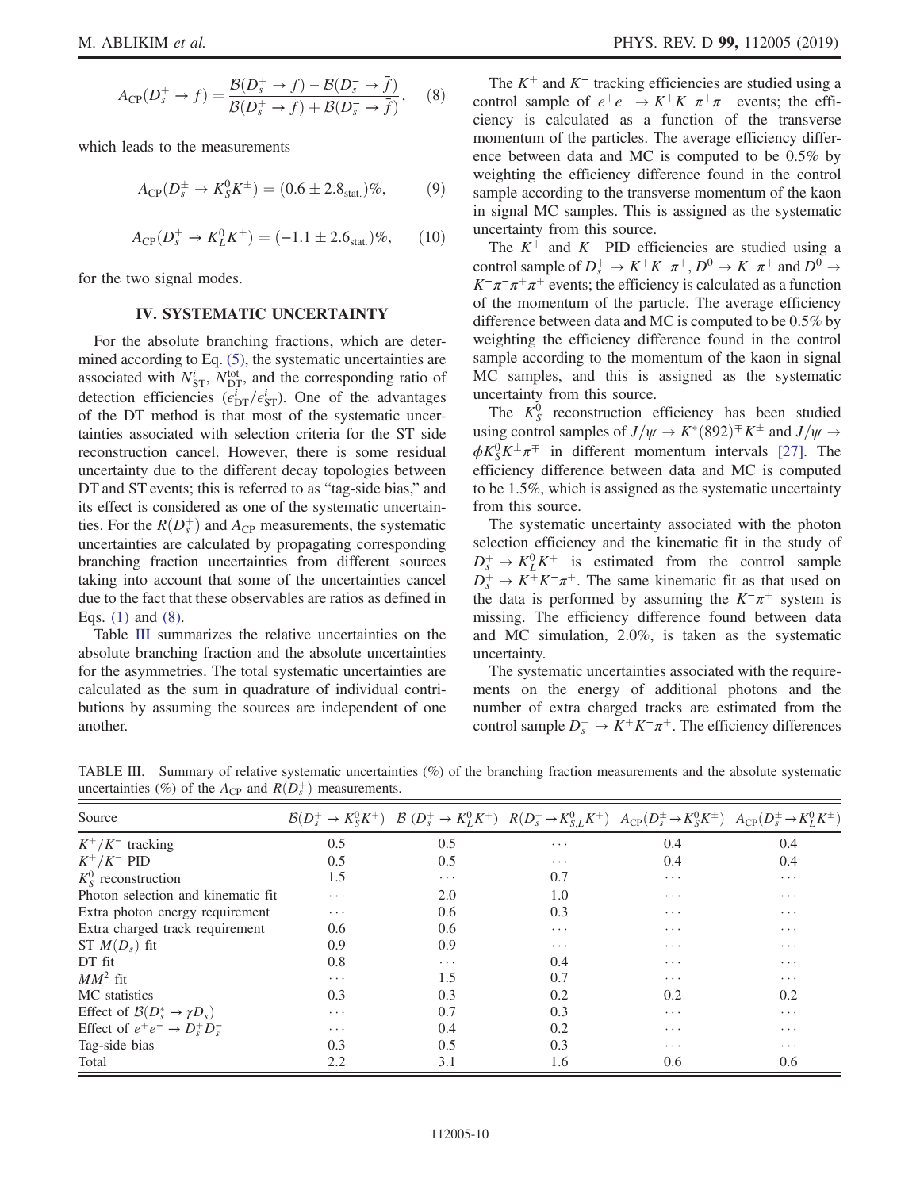$$
A_{\rm CP}(D_s^{\pm} \to f) = \frac{\mathcal{B}(D_s^+ \to f) - \mathcal{B}(D_s^- \to \bar{f})}{\mathcal{B}(D_s^+ \to f) + \mathcal{B}(D_s^- \to \bar{f})},\quad (8)
$$

which leads to the measurements

$$
A_{\rm CP}(D_s^{\pm} \to K_S^0 K^{\pm}) = (0.6 \pm 2.8_{\rm stat.})\%,\tag{9}
$$

$$
A_{\rm CP}(D_s^{\pm} \to K_L^0 K^{\pm}) = (-1.1 \pm 2.6_{\rm stat.})\%, \qquad (10)
$$

for the two signal modes.

### IV. SYSTEMATIC UNCERTAINTY

For the absolute branching fractions, which are determined according to Eq.  $(5)$ , the systematic uncertainties are associated with  $N_{\text{ST}}^i$ ,  $N_{\text{DT}}^{\text{tot}}$ , and the corresponding ratio of detection efficiencies  $(\epsilon_{\text{DT}}^i/\epsilon_{\text{ST}}^i)$ . One of the advantages of the DT method is that most of the systematic uncertainties associated with selection criteria for the ST side reconstruction cancel. However, there is some residual uncertainty due to the different decay topologies between DT and ST events; this is referred to as "tag-side bias," and its effect is considered as one of the systematic uncertainties. For the  $R(D_s^+)$  and  $A_{\text{CP}}$  measurements, the systematic uncertainties are calculated by propagating corresponding branching fraction uncertainties from different sources taking into account that some of the uncertainties cancel due to the fact that these observables are ratios as defined in Eqs. [\(1\)](#page-3-1) and [\(8\)](#page-8-1).

Table [III](#page-9-0) summarizes the relative uncertainties on the absolute branching fraction and the absolute uncertainties for the asymmetries. The total systematic uncertainties are calculated as the sum in quadrature of individual contributions by assuming the sources are independent of one another.

The  $K^+$  and  $K^-$  tracking efficiencies are studied using a control sample of  $e^+e^- \rightarrow K^+K^-\pi^+\pi^-$  events; the efficiency is calculated as a function of the transverse momentum of the particles. The average efficiency difference between data and MC is computed to be 0.5% by weighting the efficiency difference found in the control sample according to the transverse momentum of the kaon in signal MC samples. This is assigned as the systematic uncertainty from this source.

The  $K^+$  and  $K^-$  PID efficiencies are studied using a control sample of  $D_s^+ \to K^+K^-\pi^+, D^0 \to K^-\pi^+$  and  $D^0 \to$  $K^-\pi^-\pi^+\pi^+$  events; the efficiency is calculated as a function of the momentum of the particle. The average efficiency difference between data and MC is computed to be 0.5% by weighting the efficiency difference found in the control sample according to the momentum of the kaon in signal MC samples, and this is assigned as the systematic uncertainty from this source.

The  $K_S^0$  reconstruction efficiency has been studied using control samples of  $J/\psi \to K^*(892)^\mp K^\pm$  and  $J/\psi \to$  $\phi K_S^0 K^{\pm} \pi^{\mp}$  in different momentum intervals [\[27\].](#page-11-25) The efficiency difference between data and MC is computed to be 1.5%, which is assigned as the systematic uncertainty from this source.

The systematic uncertainty associated with the photon selection efficiency and the kinematic fit in the study of  $D_s^+ \rightarrow K_L^0 K^+$  is estimated from the control sample  $D_s^+ \to K^+ K^- \pi^+$ . The same kinematic fit as that used on the data is performed by assuming the  $K^-\pi^+$  system is missing. The efficiency difference found between data and MC simulation, 2.0%, is taken as the systematic uncertainty.

The systematic uncertainties associated with the requirements on the energy of additional photons and the number of extra charged tracks are estimated from the control sample  $D_s^+ \to K^+ K^-\pi^+$ . The efficiency differences

<span id="page-9-0"></span>TABLE III. Summary of relative systematic uncertainties (%) of the branching fraction measurements and the absolute systematic uncertainties (%) of the  $A_{\text{CP}}$  and  $R(D_s^+)$  measurements.

| Source                                        |                         |          |                         | $\mathcal{B}(D_s^+\to K_S^0 K^+)$ $\mathcal{B}(D_s^+\to K_L^0 K^+)$ $R(D_s^+\to K_{S,L}^0 K^+)$ $A_{\rm CP}(D_s^+\to K_S^0 K^+)$ $A_{\rm CP}(D_s^+\to K_L^0 K^+)$ |                         |
|-----------------------------------------------|-------------------------|----------|-------------------------|-------------------------------------------------------------------------------------------------------------------------------------------------------------------|-------------------------|
| $K^+/K^-$ tracking                            | 0.5                     | 0.5      | $\cdots$                | 0.4                                                                                                                                                               | 0.4                     |
| $K^+/K^-$ PID                                 | 0.5                     | 0.5      | $\cdots$                | 0.4                                                                                                                                                               | 0.4                     |
| $K_{s}^{0}$ reconstruction                    | 1.5                     | $\cdots$ | 0.7                     | $\cdots$                                                                                                                                                          | $\cdot$ $\cdot$ $\cdot$ |
| Photon selection and kinematic fit.           | .                       | 2.0      | 1.0                     | $\cdot$ $\cdot$ $\cdot$                                                                                                                                           | $\cdot$ $\cdot$ $\cdot$ |
| Extra photon energy requirement               | $\cdots$                | 0.6      | 0.3                     | $\cdots$                                                                                                                                                          | $\cdots$                |
| Extra charged track requirement               | $0.6^{\circ}$           | 0.6      | .                       | $\cdots$                                                                                                                                                          | $\cdots$                |
| ST $M(D_s)$ fit                               | 0.9                     | 0.9      | $\cdot$ $\cdot$ $\cdot$ | $\cdots$                                                                                                                                                          | $\cdots$                |
| DT fit                                        | 0.8                     | $\cdots$ | 0.4                     | $\cdots$                                                                                                                                                          | $\cdots$                |
| $MM^2$ fit                                    | $\cdots$                | 1.5      | 0.7                     | $\cdots$                                                                                                                                                          | $\cdots$                |
| MC statistics                                 | 0.3                     | 0.3      | 0.2                     | 0.2                                                                                                                                                               | 0.2                     |
| Effect of $\mathcal{B}(D_s^* \to \gamma D_s)$ | $\cdots$                | 0.7      | 0.3                     | $\cdots$                                                                                                                                                          | $\cdot$ $\cdot$ $\cdot$ |
| Effect of $e^+e^- \rightarrow D_s^+D_s^-$     | $\cdot$ $\cdot$ $\cdot$ | 0.4      | 0.2                     | $\cdot$ $\cdot$ $\cdot$                                                                                                                                           | $\cdots$                |
| Tag-side bias                                 | 0.3                     | 0.5      | 0.3                     | $\cdots$                                                                                                                                                          | $\cdots$                |
| Total                                         | 2.2                     | 3.1      | 1.6                     | 0.6                                                                                                                                                               | 0.6                     |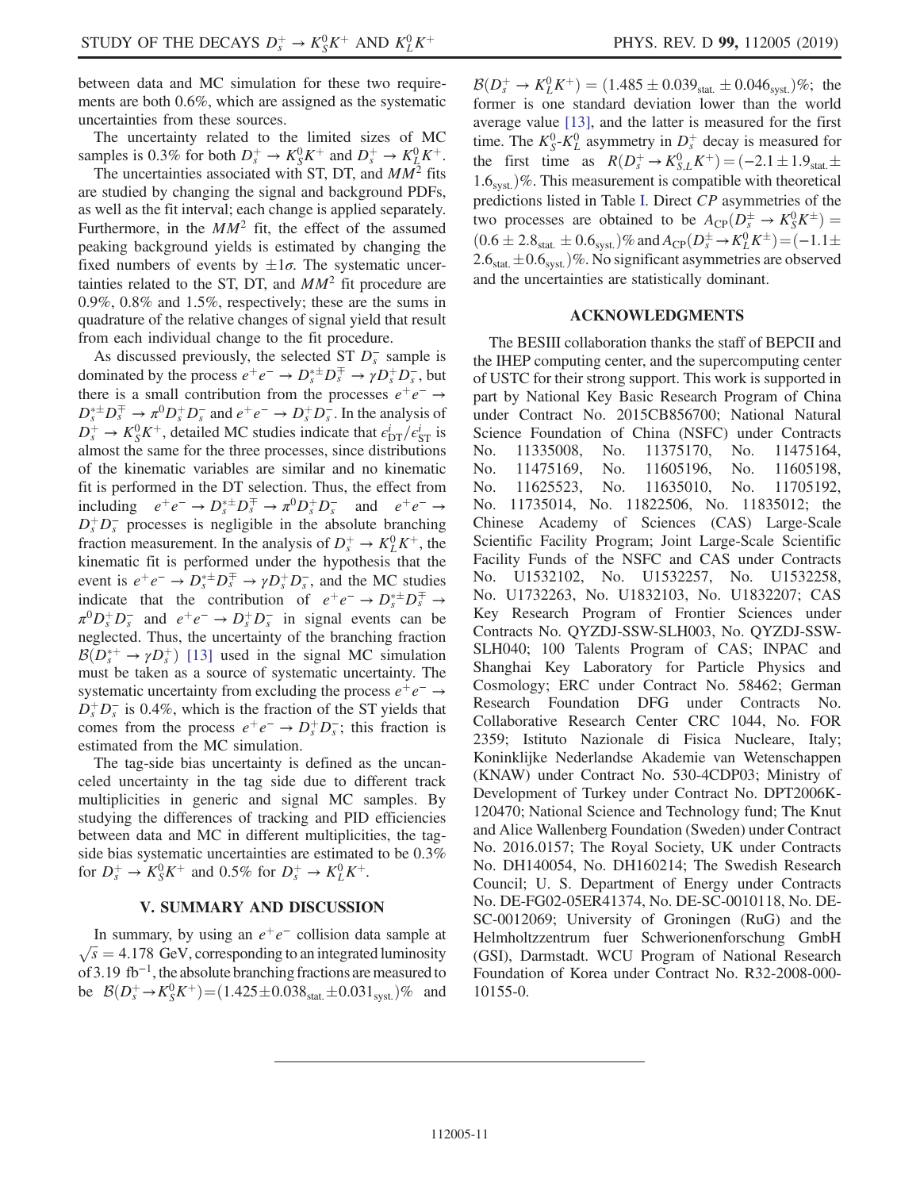between data and MC simulation for these two requirements are both 0.6%, which are assigned as the systematic uncertainties from these sources.

The uncertainty related to the limited sizes of MC samples is 0.3% for both  $D_s^+ \to K_S^0 K^+$  and  $D_s^+ \to K_L^0 K^+$ .

The uncertainties associated with ST, DT, and  $MM^2$  fits are studied by changing the signal and background PDFs, as well as the fit interval; each change is applied separately. Furthermore, in the  $MM^2$  fit, the effect of the assumed peaking background yields is estimated by changing the fixed numbers of events by  $\pm 1\sigma$ . The systematic uncertainties related to the ST, DT, and  $MM^2$  fit procedure are 0.9%, 0.8% and 1.5%, respectively; these are the sums in quadrature of the relative changes of signal yield that result from each individual change to the fit procedure.

As discussed previously, the selected ST  $D_s^-$  sample is dominated by the process  $e^+e^- \to D_s^{\ast \pm} D_s^{\mp} \to \gamma D_s^{\mp} D_s^-$ , but there is a small contribution from the processes  $e^+e^- \rightarrow$  $D_s^{\ast \pm} D_s^{\mp} \rightarrow \pi^0 D_s^{\mp} D_s^-$  and  $e^+ e^- \rightarrow D_s^{\mp} D_s^-$ . In the analysis of  $D_s^+ \rightarrow K_S^0 K^+$ , detailed MC studies indicate that  $\epsilon_{\text{DT}}^i / \epsilon_{\text{ST}}^i$  is almost the same for the three processes, since distributions of the kinematic variables are similar and no kinematic fit is performed in the DT selection. Thus, the effect from including  $e^+e^- \to D_s^{*\pm}D_s^{\mp} \to \pi^0 D_s^+D_s^-$  and  $e^+e^- \to$  $D_s^+ D_s^-$  processes is negligible in the absolute branching fraction measurement. In the analysis of  $D_s^+ \to K^0_L K^+$ , the kinematic fit is performed under the hypothesis that the event is  $e^+e^- \to D_s^{*\pm}D_s^{\mp} \to \gamma D_s^+D_s^-$ , and the MC studies indicate that the contribution of  $e^+e^- \rightarrow D_s^{\ast \pm} D_s^{\mp} \rightarrow$  $\pi^0 D_s^+ D_s^-$  and  $e^+e^- \to D_s^+ D_s^-$  in signal events can be neglected. Thus, the uncertainty of the branching fraction  $\mathcal{B}(D_s^{*+} \to \gamma D_s^+)$  [\[13\]](#page-11-9) used in the signal MC simulation must be taken as a source of systematic uncertainty. The systematic uncertainty from excluding the process  $e^+e^- \rightarrow$  $D_s^+ D_s^-$  is 0.4%, which is the fraction of the ST yields that comes from the process  $e^+e^- \rightarrow D_s^+D_s^-$ ; this fraction is estimated from the MC simulation.

The tag-side bias uncertainty is defined as the uncanceled uncertainty in the tag side due to different track multiplicities in generic and signal MC samples. By studying the differences of tracking and PID efficiencies between data and MC in different multiplicities, the tagside bias systematic uncertainties are estimated to be 0.3% for  $D_s^+ \rightarrow K_S^0 K^+$  and 0.5% for  $D_s^+ \rightarrow K_L^0 K^+$ .

### V. SUMMARY AND DISCUSSION

In summary, by using an  $e^+e^-$  collision data sample at  $\sqrt{s} = 4.178$  GeV, corresponding to an integrated luminosity of 3.19 fb<sup>−</sup><sup>1</sup>, the absolute branching fractions are measured to be  $\mathcal{B}(D_s^+ \to K_S^0 K^+) = (1.425 \pm 0.038_{stat.} \pm 0.031_{syst.})\%$  and

 $\mathcal{B}(D_s^+ \to K_L^0 K^+) = (1.485 \pm 0.039_{\text{stat.}} \pm 0.046_{\text{syst.}})\%;$  the former is one standard deviation lower than the world average value [\[13\]](#page-11-9), and the latter is measured for the first time. The  $K_S^0$ - $K_L^0$  asymmetry in  $D_s^+$  decay is measured for the first time as  $R(D_s^+ \to K_{S,L}^0 K^+) = (-2.1 \pm 1.9 \text{stat.} \pm 1.0 \text{stat.})$  $1.6<sub>svst.</sub>$ )%. This measurement is compatible with theoretical predictions listed in Table [I](#page-3-0). Direct CP asymmetries of the two processes are obtained to be  $A_{\text{CP}}(D_s^{\pm} \to K_S^0 K^{\pm}) =$  $(0.6 \pm 2.8<sub>stat.</sub> \pm 0.6<sub>syst.</sub>)\%$  and  $A_{\rm CP}(D_s^{\pm} \to K^0_L K^{\pm}) = (-1.1 \pm$  $2.6<sub>stat.</sub> \pm 0.6<sub>syst.</sub>$   $)\%$ . No significant asymmetries are observed and the uncertainties are statistically dominant.

#### ACKNOWLEDGMENTS

The BESIII collaboration thanks the staff of BEPCII and the IHEP computing center, and the supercomputing center of USTC for their strong support. This work is supported in part by National Key Basic Research Program of China under Contract No. 2015CB856700; National Natural Science Foundation of China (NSFC) under Contracts No. 11335008, No. 11375170, No. 11475164, No. 11475169, No. 11605196, No. 11605198, No. 11625523, No. 11635010, No. 11705192, No. 11735014, No. 11822506, No. 11835012; the Chinese Academy of Sciences (CAS) Large-Scale Scientific Facility Program; Joint Large-Scale Scientific Facility Funds of the NSFC and CAS under Contracts No. U1532102, No. U1532257, No. U1532258, No. U1732263, No. U1832103, No. U1832207; CAS Key Research Program of Frontier Sciences under Contracts No. QYZDJ-SSW-SLH003, No. QYZDJ-SSW-SLH040; 100 Talents Program of CAS; INPAC and Shanghai Key Laboratory for Particle Physics and Cosmology; ERC under Contract No. 58462; German Research Foundation DFG under Contracts No. Collaborative Research Center CRC 1044, No. FOR 2359; Istituto Nazionale di Fisica Nucleare, Italy; Koninklijke Nederlandse Akademie van Wetenschappen (KNAW) under Contract No. 530-4CDP03; Ministry of Development of Turkey under Contract No. DPT2006K-120470; National Science and Technology fund; The Knut and Alice Wallenberg Foundation (Sweden) under Contract No. 2016.0157; The Royal Society, UK under Contracts No. DH140054, No. DH160214; The Swedish Research Council; U. S. Department of Energy under Contracts No. DE-FG02-05ER41374, No. DE-SC-0010118, No. DE-SC-0012069; University of Groningen (RuG) and the Helmholtzzentrum fuer Schwerionenforschung GmbH (GSI), Darmstadt. WCU Program of National Research Foundation of Korea under Contract No. R32-2008-000- 10155-0.